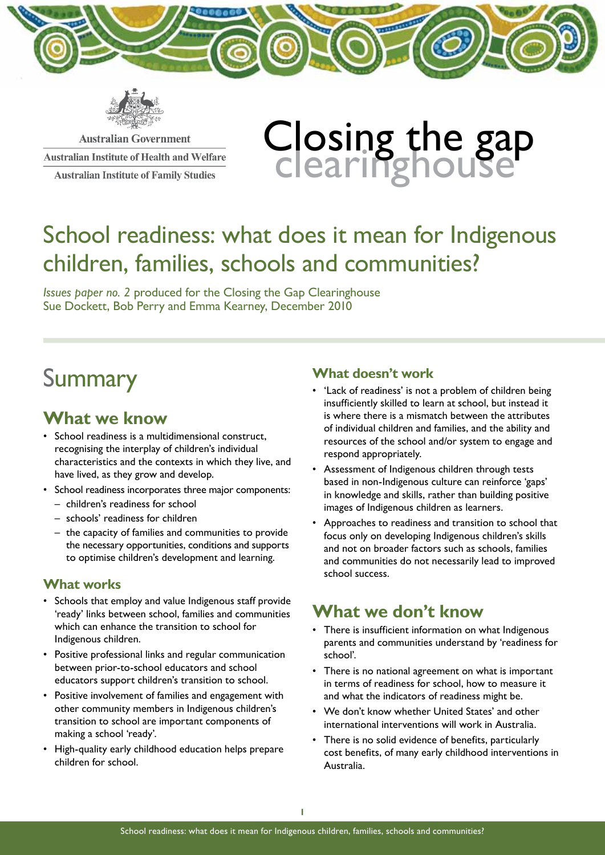



**Australian Government Australian Institute of Health and Welfare Australian Institute of Family Studies** 

# Closing the gap<br>clearinghouse

# School readiness: what does it mean for Indigenous children, families, schools and communities?

*Issues paper no. 2* produced for the Closing the Gap Clearinghouse Sue Dockett, Bob Perry and Emma Kearney, December 2010

# **Summary**

# **What we know**

- • School readiness is a multidimensional construct, recognising the interplay of children's individual characteristics and the contexts in which they live, and have lived, as they grow and develop.
- School readiness incorporates three major components:
	- children's readiness for school
	- schools' readiness for children
	- the capacity of families and communities to provide the necessary opportunities, conditions and supports to optimise children's development and learning.

#### **What works**

- Schools that employ and value Indigenous staff provide 'ready' links between school, families and communities which can enhance the transition to school for Indigenous children.
- Positive professional links and regular communication between prior-to-school educators and school educators support children's transition to school.
- Positive involvement of families and engagement with other community members in Indigenous children's transition to school are important components of making a school 'ready'.
- High-quality early childhood education helps prepare children for school.

#### **What doesn't work**

- 'Lack of readiness' is not a problem of children being insufficiently skilled to learn at school, but instead it is where there is a mismatch between the attributes of individual children and families, and the ability and resources of the school and/or system to engage and respond appropriately.
- Assessment of Indigenous children through tests based in non-Indigenous culture can reinforce 'gaps' in knowledge and skills, rather than building positive images of Indigenous children as learners.
- Approaches to readiness and transition to school that focus only on developing Indigenous children's skills and not on broader factors such as schools, families and communities do not necessarily lead to improved school success.

## **What we don't know**

- There is insufficient information on what Indigenous parents and communities understand by 'readiness for school'.
- There is no national agreement on what is important in terms of readiness for school, how to measure it and what the indicators of readiness might be.
- We don't know whether United States' and other international interventions will work in Australia.
- There is no solid evidence of benefits, particularly cost benefits, of many early childhood interventions in Australia.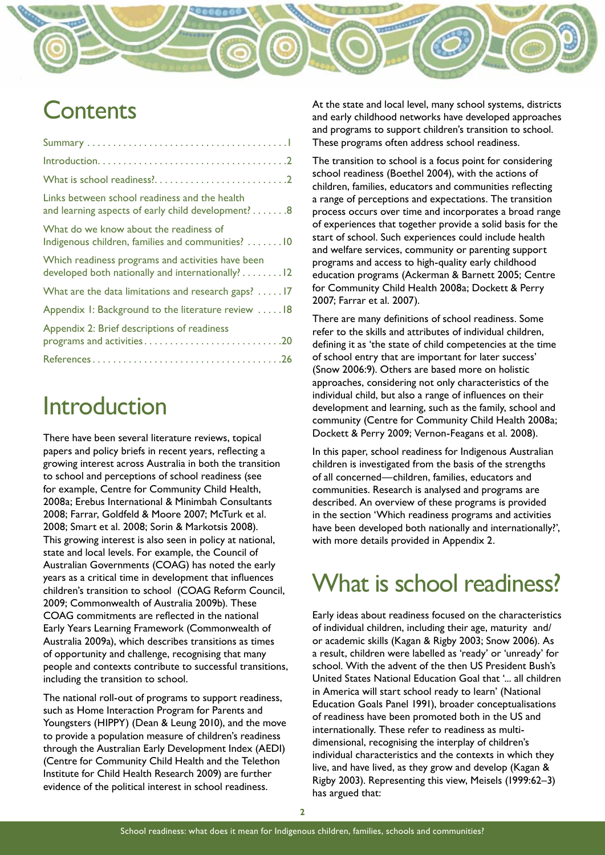# **Contents**

| $Introduction. \ldots \ldots \ldots \ldots \ldots \ldots \ldots \ldots \ldots \ldots \ldots \ldots \ldots$ |
|------------------------------------------------------------------------------------------------------------|
|                                                                                                            |
| Links between school readiness and the health<br>and learning aspects of early child development?8         |
| What do we know about the readiness of<br>Indigenous children, families and communities? 10                |
| Which readiness programs and activities have been<br>developed both nationally and internationally? 12     |
| What are the data limitations and research gaps?  17                                                       |
| Appendix I: Background to the literature review  18                                                        |
| Appendix 2: Brief descriptions of readiness<br>programs and activities20                                   |
|                                                                                                            |

# Introduction

There have been several literature reviews, topical papers and policy briefs in recent years, reflecting a growing interest across Australia in both the transition to school and perceptions of school readiness (see for example, Centre for Community Child Health, 2008a; Erebus International & Minimbah Consultants 2008; Farrar, Goldfeld & Moore 2007; McTurk et al. 2008; Smart et al. 2008; Sorin & Markotsis 2008). This growing interest is also seen in policy at national, state and local levels. For example, the Council of Australian Governments (COAG) has noted the early years as a critical time in development that influences children's transition to school (COAG Reform Council, 2009; Commonwealth of Australia 2009b). These COAG commitments are reflected in the national Early Years Learning Framework (Commonwealth of Australia 2009a), which describes transitions as times of opportunity and challenge, recognising that many people and contexts contribute to successful transitions, including the transition to school.

The national roll-out of programs to support readiness, such as Home Interaction Program for Parents and Youngsters (HIPPY) (Dean & Leung 2010), and the move to provide a population measure of children's readiness through the Australian Early Development Index (AEDI) (Centre for Community Child Health and the Telethon Institute for Child Health Research 2009) are further evidence of the political interest in school readiness.

At the state and local level, many school systems, districts and early childhood networks have developed approaches and programs to support children's transition to school. These programs often address school readiness.

<u>uniterna</u>

The transition to school is a focus point for considering school readiness (Boethel 2004), with the actions of children, families, educators and communities reflecting a range of perceptions and expectations. The transition process occurs over time and incorporates a broad range of experiences that together provide a solid basis for the start of school. Such experiences could include health and welfare services, community or parenting support programs and access to high-quality early childhood education programs (Ackerman & Barnett 2005; Centre for Community Child Health 2008a; Dockett & Perry 2007; Farrar et al. 2007).

There are many definitions of school readiness. Some refer to the skills and attributes of individual children, defining it as 'the state of child competencies at the time of school entry that are important for later success' (Snow 2006:9). Others are based more on holistic approaches, considering not only characteristics of the individual child, but also a range of influences on their development and learning, such as the family, school and community (Centre for Community Child Health 2008a; Dockett & Perry 2009; Vernon-Feagans et al. 2008).

In this paper, school readiness for Indigenous Australian children is investigated from the basis of the strengths of all concerned—children, families, educators and communities. Research is analysed and programs are described. An overview of these programs is provided in the section 'Which readiness programs and activities have been developed both nationally and internationally?', with more details provided in Appendix 2.

# What is school readiness?

Early ideas about readiness focused on the characteristics of individual children, including their age, maturity and/ or academic skills (Kagan & Rigby 2003; Snow 2006). As a result, children were labelled as 'ready' or 'unready' for school. With the advent of the then US President Bush's United States National Education Goal that '... all children in America will start school ready to learn' (National Education Goals Panel 1991), broader conceptualisations of readiness have been promoted both in the US and internationally. These refer to readiness as multidimensional, recognising the interplay of children's individual characteristics and the contexts in which they live, and have lived, as they grow and develop (Kagan & Rigby 2003). Representing this view, Meisels (1999:62–3) has argued that: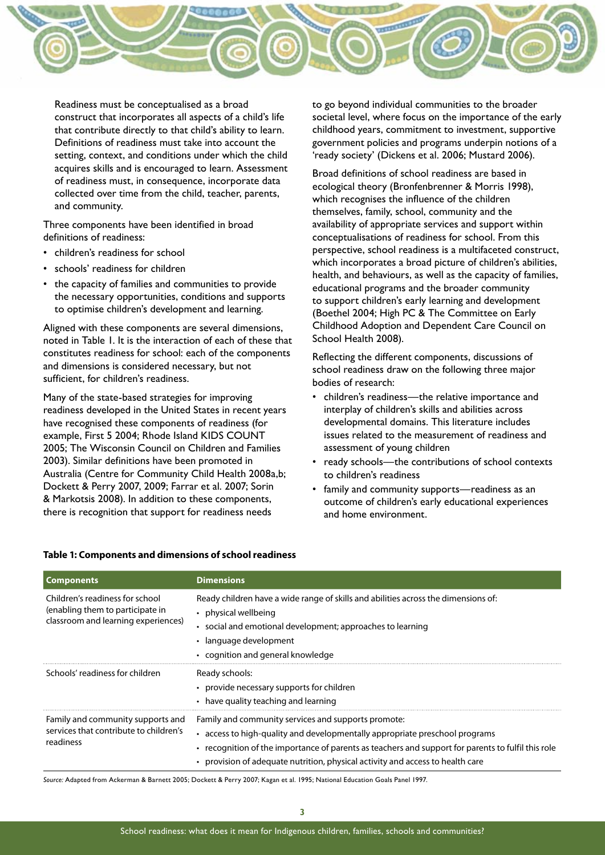

Readiness must be conceptualised as a broad construct that incorporates all aspects of a child's life that contribute directly to that child's ability to learn. Definitions of readiness must take into account the setting, context, and conditions under which the child acquires skills and is encouraged to learn. Assessment of readiness must, in consequence, incorporate data collected over time from the child, teacher, parents, and community.

Three components have been identified in broad definitions of readiness:

- • children's readiness for school
- schools' readiness for children
- the capacity of families and communities to provide the necessary opportunities, conditions and supports to optimise children's development and learning.

Aligned with these components are several dimensions, noted in Table 1. It is the interaction of each of these that constitutes readiness for school: each of the components and dimensions is considered necessary, but not sufficient, for children's readiness.

Many of the state-based strategies for improving readiness developed in the United States in recent years have recognised these components of readiness (for example, First 5 2004; Rhode Island KIDS COUNT 2005; The Wisconsin Council on Children and Families 2003). Similar definitions have been promoted in Australia (Centre for Community Child Health 2008a,b; Dockett & Perry 2007, 2009; Farrar et al. 2007; Sorin & Markotsis 2008). In addition to these components, there is recognition that support for readiness needs

to go beyond individual communities to the broader societal level, where focus on the importance of the early childhood years, commitment to investment, supportive government policies and programs underpin notions of a 'ready society' (Dickens et al. 2006; Mustard 2006).

Broad definitions of school readiness are based in ecological theory (Bronfenbrenner & Morris 1998), which recognises the influence of the children themselves, family, school, community and the availability of appropriate services and support within conceptualisations of readiness for school. From this perspective, school readiness is a multifaceted construct, which incorporates a broad picture of children's abilities, health, and behaviours, as well as the capacity of families, educational programs and the broader community to support children's early learning and development (Boethel 2004; High PC & The Committee on Early Childhood Adoption and Dependent Care Council on School Health 2008).

Reflecting the different components, discussions of school readiness draw on the following three major bodies of research:

- • children's readiness—the relative importance and interplay of children's skills and abilities across developmental domains. This literature includes issues related to the measurement of readiness and assessment of young children
- ready schools—the contributions of school contexts to children's readiness
- family and community supports—readiness as an outcome of children's early educational experiences and home environment.

| <b>Components</b>                                                                                          | <b>Dimensions</b>                                                                                                                                                                                                                                                                                                    |
|------------------------------------------------------------------------------------------------------------|----------------------------------------------------------------------------------------------------------------------------------------------------------------------------------------------------------------------------------------------------------------------------------------------------------------------|
| Children's readiness for school<br>(enabling them to participate in<br>classroom and learning experiences) | Ready children have a wide range of skills and abilities across the dimensions of:<br>physical wellbeing<br>social and emotional development; approaches to learning<br>language development<br>• cognition and general knowledge                                                                                    |
| Schools' readiness for children                                                                            | Ready schools:<br>• provide necessary supports for children<br>• have quality teaching and learning                                                                                                                                                                                                                  |
| Family and community supports and<br>services that contribute to children's<br>readiness                   | Family and community services and supports promote:<br>access to high-quality and developmentally appropriate preschool programs<br>recognition of the importance of parents as teachers and support for parents to fulfil this role<br>provision of adequate nutrition, physical activity and access to health care |

#### **Table 1: Components and dimensions of school readiness**

*Source:* Adapted from Ackerman & Barnett 2005; Dockett & Perry 2007; Kagan et al. 1995; National Education Goals Panel 1997.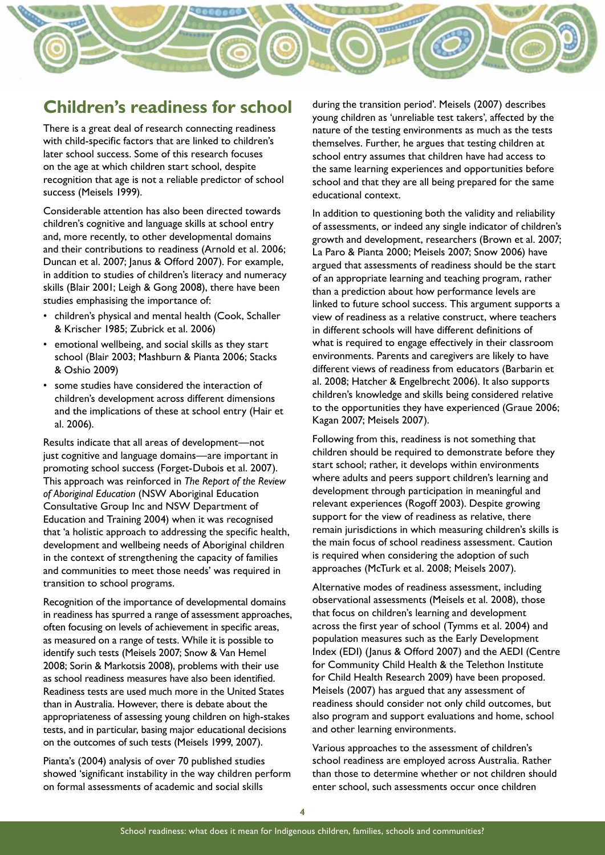# **Children's readiness for school**

There is a great deal of research connecting readiness with child-specific factors that are linked to children's later school success. Some of this research focuses on the age at which children start school, despite recognition that age is not a reliable predictor of school success (Meisels 1999).

Considerable attention has also been directed towards children's cognitive and language skills at school entry and, more recently, to other developmental domains and their contributions to readiness (Arnold et al. 2006; Duncan et al. 2007; Janus & Offord 2007). For example, in addition to studies of children's literacy and numeracy skills (Blair 2001; Leigh & Gong 2008), there have been studies emphasising the importance of:

- • children's physical and mental health (Cook, Schaller & Krischer 1985; Zubrick et al. 2006)
- emotional wellbeing, and social skills as they start school (Blair 2003; Mashburn & Pianta 2006; Stacks & Oshio 2009)
- • some studies have considered the interaction of children's development across different dimensions and the implications of these at school entry (Hair et al. 2006).

Results indicate that all areas of development—not just cognitive and language domains—are important in promoting school success (Forget-Dubois et al. 2007). This approach was reinforced in *The Report of the Review of Aboriginal Education* (NSW Aboriginal Education Consultative Group Inc and NSW Department of Education and Training 2004) when it was recognised that 'a holistic approach to addressing the specific health, development and wellbeing needs of Aboriginal children in the context of strengthening the capacity of families and communities to meet those needs' was required in transition to school programs.

Recognition of the importance of developmental domains in readiness has spurred a range of assessment approaches, often focusing on levels of achievement in specific areas, as measured on a range of tests. While it is possible to identify such tests (Meisels 2007; Snow & Van Hemel 2008; Sorin & Markotsis 2008), problems with their use as school readiness measures have also been identified. Readiness tests are used much more in the United States than in Australia. However, there is debate about the appropriateness of assessing young children on high-stakes tests, and in particular, basing major educational decisions on the outcomes of such tests (Meisels 1999, 2007).

Pianta's (2004) analysis of over 70 published studies showed 'significant instability in the way children perform on formal assessments of academic and social skills

during the transition period'. Meisels (2007) describes young children as 'unreliable test takers', affected by the nature of the testing environments as much as the tests themselves. Further, he argues that testing children at school entry assumes that children have had access to the same learning experiences and opportunities before school and that they are all being prepared for the same educational context.

In addition to questioning both the validity and reliability of assessments, or indeed any single indicator of children's growth and development, researchers (Brown et al. 2007; La Paro & Pianta 2000; Meisels 2007; Snow 2006) have argued that assessments of readiness should be the start of an appropriate learning and teaching program, rather than a prediction about how performance levels are linked to future school success. This argument supports a view of readiness as a relative construct, where teachers in different schools will have different definitions of what is required to engage effectively in their classroom environments. Parents and caregivers are likely to have different views of readiness from educators (Barbarin et al. 2008; Hatcher & Engelbrecht 2006). It also supports children's knowledge and skills being considered relative to the opportunities they have experienced (Graue 2006; Kagan 2007; Meisels 2007).

Following from this, readiness is not something that children should be required to demonstrate before they start school; rather, it develops within environments where adults and peers support children's learning and development through participation in meaningful and relevant experiences (Rogoff 2003). Despite growing support for the view of readiness as relative, there remain jurisdictions in which measuring children's skills is the main focus of school readiness assessment. Caution is required when considering the adoption of such approaches (McTurk et al. 2008; Meisels 2007).

Alternative modes of readiness assessment, including observational assessments (Meisels et al. 2008), those that focus on children's learning and development across the first year of school (Tymms et al. 2004) and population measures such as the Early Development Index (EDI) (Janus & Offord 2007) and the AEDI (Centre for Community Child Health & the Telethon Institute for Child Health Research 2009) have been proposed. Meisels (2007) has argued that any assessment of readiness should consider not only child outcomes, but also program and support evaluations and home, school and other learning environments.

Various approaches to the assessment of children's school readiness are employed across Australia. Rather than those to determine whether or not children should enter school, such assessments occur once children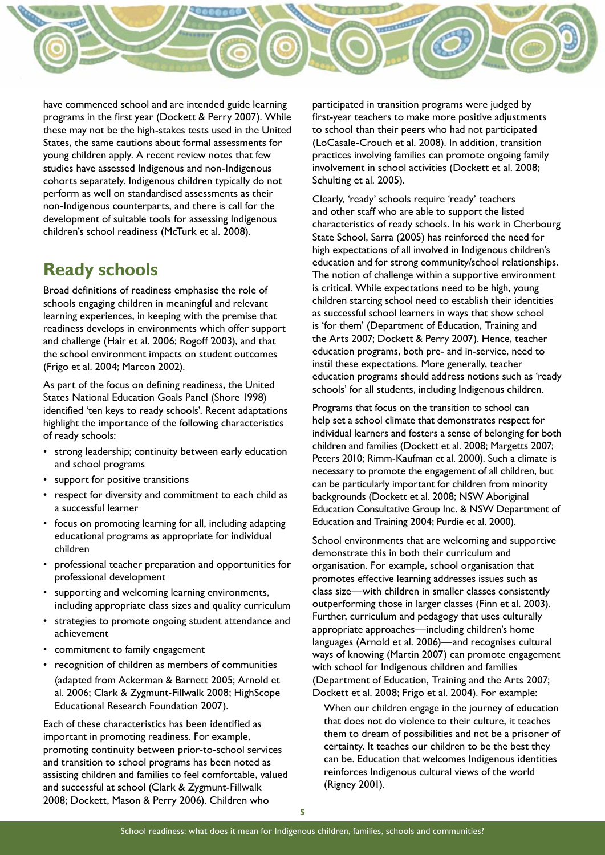

have commenced school and are intended guide learning programs in the first year (Dockett & Perry 2007). While these may not be the high-stakes tests used in the United States, the same cautions about formal assessments for young children apply. A recent review notes that few studies have assessed Indigenous and non-Indigenous cohorts separately. Indigenous children typically do not perform as well on standardised assessments as their non-Indigenous counterparts, and there is call for the development of suitable tools for assessing Indigenous children's school readiness (McTurk et al. 2008).

## **Ready schools**

Broad definitions of readiness emphasise the role of schools engaging children in meaningful and relevant learning experiences, in keeping with the premise that readiness develops in environments which offer support and challenge (Hair et al. 2006; Rogoff 2003), and that the school environment impacts on student outcomes (Frigo et al. 2004; Marcon 2002).

As part of the focus on defining readiness, the United States National Education Goals Panel (Shore 1998) identified 'ten keys to ready schools'. Recent adaptations highlight the importance of the following characteristics of ready schools:

- • strong leadership; continuity between early education and school programs
- support for positive transitions
- • respect for diversity and commitment to each child as a successful learner
- focus on promoting learning for all, including adapting educational programs as appropriate for individual children
- professional teacher preparation and opportunities for professional development
- • supporting and welcoming learning environments, including appropriate class sizes and quality curriculum
- • strategies to promote ongoing student attendance and achievement
- commitment to family engagement
- • recognition of children as members of communities (adapted from Ackerman & Barnett 2005; Arnold et al. 2006; Clark & Zygmunt-Fillwalk 2008; HighScope Educational Research Foundation 2007).

Each of these characteristics has been identified as important in promoting readiness. For example, promoting continuity between prior-to-school services and transition to school programs has been noted as assisting children and families to feel comfortable, valued and successful at school (Clark & Zygmunt-Fillwalk 2008; Dockett, Mason & Perry 2006). Children who

participated in transition programs were judged by first-year teachers to make more positive adjustments to school than their peers who had not participated (LoCasale-Crouch et al. 2008). In addition, transition practices involving families can promote ongoing family involvement in school activities (Dockett et al. 2008; Schulting et al. 2005).

Clearly, 'ready' schools require 'ready' teachers and other staff who are able to support the listed characteristics of ready schools. In his work in Cherbourg State School, Sarra (2005) has reinforced the need for high expectations of all involved in Indigenous children's education and for strong community/school relationships. The notion of challenge within a supportive environment is critical. While expectations need to be high, young children starting school need to establish their identities as successful school learners in ways that show school is 'for them' (Department of Education, Training and the Arts 2007; Dockett & Perry 2007). Hence, teacher education programs, both pre- and in-service, need to instil these expectations. More generally, teacher education programs should address notions such as 'ready schools' for all students, including Indigenous children.

Programs that focus on the transition to school can help set a school climate that demonstrates respect for individual learners and fosters a sense of belonging for both children and families (Dockett et al. 2008; Margetts 2007; Peters 2010; Rimm-Kaufman et al. 2000). Such a climate is necessary to promote the engagement of all children, but can be particularly important for children from minority backgrounds (Dockett et al. 2008; NSW Aboriginal Education Consultative Group Inc. & NSW Department of Education and Training 2004; Purdie et al. 2000).

School environments that are welcoming and supportive demonstrate this in both their curriculum and organisation. For example, school organisation that promotes effective learning addresses issues such as class size—with children in smaller classes consistently outperforming those in larger classes (Finn et al. 2003). Further, curriculum and pedagogy that uses culturally appropriate approaches—including children's home languages (Arnold et al. 2006)—and recognises cultural ways of knowing (Martin 2007) can promote engagement with school for Indigenous children and families (Department of Education, Training and the Arts 2007; Dockett et al. 2008; Frigo et al. 2004). For example:

When our children engage in the journey of education that does not do violence to their culture, it teaches them to dream of possibilities and not be a prisoner of certainty. It teaches our children to be the best they can be. Education that welcomes Indigenous identities reinforces Indigenous cultural views of the world (Rigney 2001).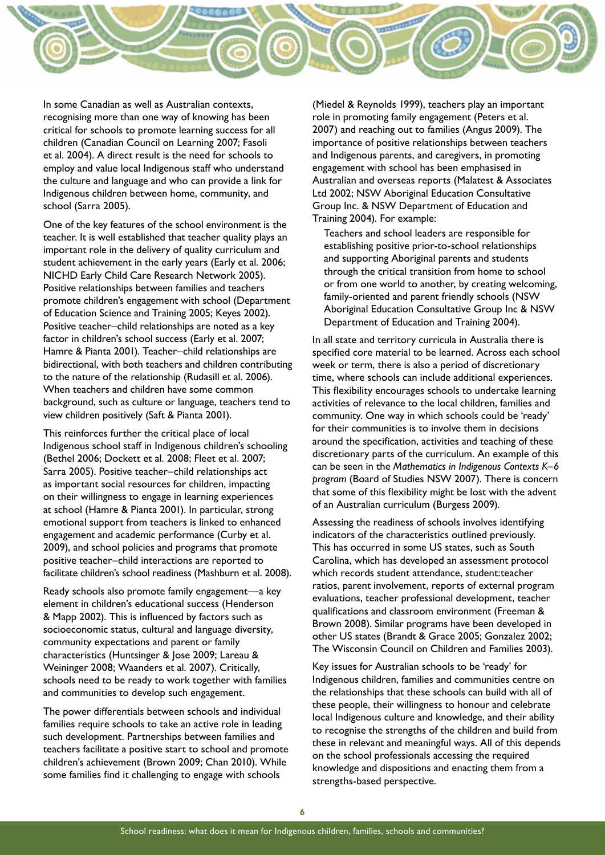

In some Canadian as well as Australian contexts, recognising more than one way of knowing has been critical for schools to promote learning success for all children (Canadian Council on Learning 2007; Fasoli et al. 2004). A direct result is the need for schools to employ and value local Indigenous staff who understand the culture and language and who can provide a link for Indigenous children between home, community, and school (Sarra 2005).

One of the key features of the school environment is the teacher. It is well established that teacher quality plays an important role in the delivery of quality curriculum and student achievement in the early years (Early et al. 2006; NICHD Early Child Care Research Network 2005). Positive relationships between families and teachers promote children's engagement with school (Department of Education Science and Training 2005; Keyes 2002). Positive teacher–child relationships are noted as a key factor in children's school success (Early et al. 2007; Hamre & Pianta 2001). Teacher–child relationships are bidirectional, with both teachers and children contributing to the nature of the relationship (Rudasill et al. 2006). When teachers and children have some common background, such as culture or language, teachers tend to view children positively (Saft & Pianta 2001).

This reinforces further the critical place of local Indigenous school staff in Indigenous children's schooling (Bethel 2006; Dockett et al. 2008; Fleet et al. 2007; Sarra 2005). Positive teacher–child relationships act as important social resources for children, impacting on their willingness to engage in learning experiences at school (Hamre & Pianta 2001). In particular, strong emotional support from teachers is linked to enhanced engagement and academic performance (Curby et al. 2009), and school policies and programs that promote positive teacher–child interactions are reported to facilitate children's school readiness (Mashburn et al. 2008).

Ready schools also promote family engagement—a key element in children's educational success (Henderson & Mapp 2002). This is influenced by factors such as socioeconomic status, cultural and language diversity, community expectations and parent or family characteristics (Huntsinger & Jose 2009; Lareau & Weininger 2008; Waanders et al. 2007). Critically, schools need to be ready to work together with families and communities to develop such engagement.

The power differentials between schools and individual families require schools to take an active role in leading such development. Partnerships between families and teachers facilitate a positive start to school and promote children's achievement (Brown 2009; Chan 2010). While some families find it challenging to engage with schools

(Miedel & Reynolds 1999), teachers play an important role in promoting family engagement (Peters et al. 2007) and reaching out to families (Angus 2009). The importance of positive relationships between teachers and Indigenous parents, and caregivers, in promoting engagement with school has been emphasised in Australian and overseas reports (Malatest & Associates Ltd 2002; NSW Aboriginal Education Consultative Group Inc. & NSW Department of Education and Training 2004). For example:

Teachers and school leaders are responsible for establishing positive prior-to-school relationships and supporting Aboriginal parents and students through the critical transition from home to school or from one world to another, by creating welcoming, family-oriented and parent friendly schools (NSW Aboriginal Education Consultative Group Inc & NSW Department of Education and Training 2004).

In all state and territory curricula in Australia there is specified core material to be learned. Across each school week or term, there is also a period of discretionary time, where schools can include additional experiences. This flexibility encourages schools to undertake learning activities of relevance to the local children, families and community. One way in which schools could be 'ready' for their communities is to involve them in decisions around the specification, activities and teaching of these discretionary parts of the curriculum. An example of this can be seen in the *Mathematics in Indigenous Contexts K–6 program* (Board of Studies NSW 2007). There is concern that some of this flexibility might be lost with the advent of an Australian curriculum (Burgess 2009).

Assessing the readiness of schools involves identifying indicators of the characteristics outlined previously. This has occurred in some US states, such as South Carolina, which has developed an assessment protocol which records student attendance, student:teacher ratios, parent involvement, reports of external program evaluations, teacher professional development, teacher qualifications and classroom environment (Freeman & Brown 2008). Similar programs have been developed in other US states (Brandt & Grace 2005; Gonzalez 2002; The Wisconsin Council on Children and Families 2003).

Key issues for Australian schools to be 'ready' for Indigenous children, families and communities centre on the relationships that these schools can build with all of these people, their willingness to honour and celebrate local Indigenous culture and knowledge, and their ability to recognise the strengths of the children and build from these in relevant and meaningful ways. All of this depends on the school professionals accessing the required knowledge and dispositions and enacting them from a strengths-based perspective.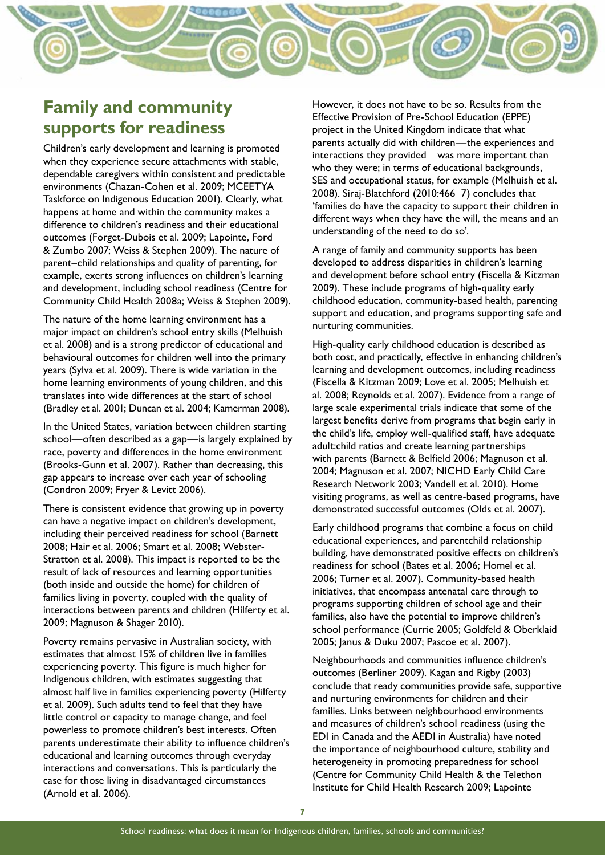

# **Family and community supports for readiness**

Children's early development and learning is promoted when they experience secure attachments with stable, dependable caregivers within consistent and predictable environments (Chazan-Cohen et al. 2009; MCEETYA Taskforce on Indigenous Education 2001). Clearly, what happens at home and within the community makes a difference to children's readiness and their educational outcomes (Forget-Dubois et al. 2009; Lapointe, Ford & Zumbo 2007; Weiss & Stephen 2009). The nature of parent–child relationships and quality of parenting, for example, exerts strong influences on children's learning and development, including school readiness (Centre for Community Child Health 2008a; Weiss & Stephen 2009).

The nature of the home learning environment has a major impact on children's school entry skills (Melhuish et al. 2008) and is a strong predictor of educational and behavioural outcomes for children well into the primary years (Sylva et al. 2009). There is wide variation in the home learning environments of young children, and this translates into wide differences at the start of school (Bradley et al. 2001; Duncan et al. 2004; Kamerman 2008).

In the United States, variation between children starting school—often described as a gap—is largely explained by race, poverty and differences in the home environment (Brooks-Gunn et al. 2007). Rather than decreasing, this gap appears to increase over each year of schooling (Condron 2009; Fryer & Levitt 2006).

There is consistent evidence that growing up in poverty can have a negative impact on children's development, including their perceived readiness for school (Barnett 2008; Hair et al. 2006; Smart et al. 2008; Webster-Stratton et al. 2008). This impact is reported to be the result of lack of resources and learning opportunities (both inside and outside the home) for children of families living in poverty, coupled with the quality of interactions between parents and children (Hilferty et al. 2009; Magnuson & Shager 2010).

Poverty remains pervasive in Australian society, with estimates that almost 15% of children live in families experiencing poverty. This figure is much higher for Indigenous children, with estimates suggesting that almost half live in families experiencing poverty (Hilferty et al. 2009). Such adults tend to feel that they have little control or capacity to manage change, and feel powerless to promote children's best interests. Often parents underestimate their ability to influence children's educational and learning outcomes through everyday interactions and conversations. This is particularly the case for those living in disadvantaged circumstances (Arnold et al. 2006).

However, it does not have to be so. Results from the Effective Provision of Pre-School Education (EPPE) project in the United Kingdom indicate that what parents actually did with children—the experiences and interactions they provided—was more important than who they were; in terms of educational backgrounds, SES and occupational status, for example (Melhuish et al. 2008). Siraj-Blatchford (2010:466–7) concludes that 'families do have the capacity to support their children in different ways when they have the will, the means and an understanding of the need to do so'.

A range of family and community supports has been developed to address disparities in children's learning and development before school entry (Fiscella & Kitzman 2009). These include programs of high-quality early childhood education, community-based health, parenting support and education, and programs supporting safe and nurturing communities.

High-quality early childhood education is described as both cost, and practically, effective in enhancing children's learning and development outcomes, including readiness (Fiscella & Kitzman 2009; Love et al. 2005; Melhuish et al. 2008; Reynolds et al. 2007). Evidence from a range of large scale experimental trials indicate that some of the largest benefits derive from programs that begin early in the child's life, employ well-qualified staff, have adequate adult:child ratios and create learning partnerships with parents (Barnett & Belfield 2006; Magnuson et al. 2004; Magnuson et al. 2007; NICHD Early Child Care Research Network 2003; Vandell et al. 2010). Home visiting programs, as well as centre-based programs, have demonstrated successful outcomes (Olds et al. 2007).

Early childhood programs that combine a focus on child educational experiences, and parentchild relationship building, have demonstrated positive effects on children's readiness for school (Bates et al. 2006; Homel et al. 2006; Turner et al. 2007). Community-based health initiatives, that encompass antenatal care through to programs supporting children of school age and their families, also have the potential to improve children's school performance (Currie 2005; Goldfeld & Oberklaid 2005; Janus & Duku 2007; Pascoe et al. 2007).

Neighbourhoods and communities influence children's outcomes (Berliner 2009). Kagan and Rigby (2003) conclude that ready communities provide safe, supportive and nurturing environments for children and their families. Links between neighbourhood environments and measures of children's school readiness (using the EDI in Canada and the AEDI in Australia) have noted the importance of neighbourhood culture, stability and heterogeneity in promoting preparedness for school (Centre for Community Child Health & the Telethon Institute for Child Health Research 2009; Lapointe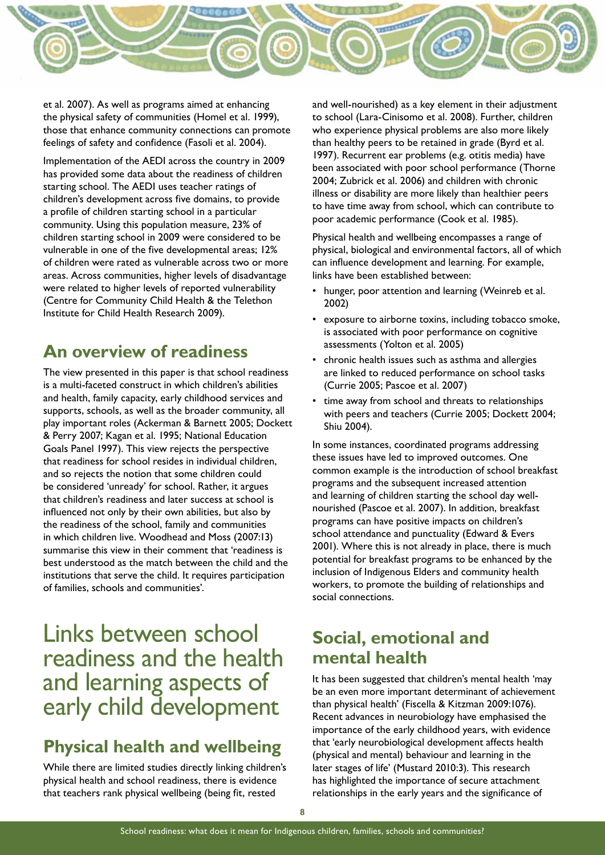

et al. 2007). As well as programs aimed at enhancing the physical safety of communities (Homel et al. 1999), those that enhance community connections can promote feelings of safety and confidence (Fasoli et al. 2004).

Implementation of the AEDI across the country in 2009 has provided some data about the readiness of children starting school. The AEDI uses teacher ratings of children's development across five domains, to provide a profile of children starting school in a particular community. Using this population measure, 23% of children starting school in 2009 were considered to be vulnerable in one of the five developmental areas; 12% of children were rated as vulnerable across two or more areas. Across communities, higher levels of disadvantage were related to higher levels of reported vulnerability (Centre for Community Child Health & the Telethon Institute for Child Health Research 2009).

# **An overview of readiness**

The view presented in this paper is that school readiness is a multi-faceted construct in which children's abilities and health, family capacity, early childhood services and supports, schools, as well as the broader community, all play important roles (Ackerman & Barnett 2005; Dockett & Perry 2007; Kagan et al. 1995; National Education Goals Panel 1997). This view rejects the perspective that readiness for school resides in individual children, and so rejects the notion that some children could be considered 'unready' for school. Rather, it argues that children's readiness and later success at school is influenced not only by their own abilities, but also by the readiness of the school, family and communities in which children live. Woodhead and Moss (2007:13) summarise this view in their comment that 'readiness is best understood as the match between the child and the institutions that serve the child. It requires participation of families, schools and communities'.

# Links between school readiness and the health and learning aspects of early child development

# **Physical health and wellbeing**

While there are limited studies directly linking children's physical health and school readiness, there is evidence that teachers rank physical wellbeing (being fit, rested

and well-nourished) as a key element in their adjustment to school (Lara-Cinisomo et al. 2008). Further, children who experience physical problems are also more likely than healthy peers to be retained in grade (Byrd et al. 1997). Recurrent ear problems (e.g. otitis media) have been associated with poor school performance (Thorne 2004; Zubrick et al. 2006) and children with chronic illness or disability are more likely than healthier peers to have time away from school, which can contribute to poor academic performance (Cook et al. 1985).

Physical health and wellbeing encompasses a range of physical, biological and environmental factors, all of which can influence development and learning. For example, links have been established between:

- hunger, poor attention and learning (Weinreb et al. 2002)
- exposure to airborne toxins, including tobacco smoke, is associated with poor performance on cognitive assessments (Yolton et al. 2005)
- • chronic health issues such as asthma and allergies are linked to reduced performance on school tasks (Currie 2005; Pascoe et al. 2007)
- time away from school and threats to relationships with peers and teachers (Currie 2005; Dockett 2004; Shiu 2004).

In some instances, coordinated programs addressing these issues have led to improved outcomes. One common example is the introduction of school breakfast programs and the subsequent increased attention and learning of children starting the school day wellnourished (Pascoe et al. 2007). In addition, breakfast programs can have positive impacts on children's school attendance and punctuality (Edward & Evers 2001). Where this is not already in place, there is much potential for breakfast programs to be enhanced by the inclusion of Indigenous Elders and community health workers, to promote the building of relationships and social connections.

# **Social, emotional and mental health**

It has been suggested that children's mental health 'may be an even more important determinant of achievement than physical health' (Fiscella & Kitzman 2009:1076). Recent advances in neurobiology have emphasised the importance of the early childhood years, with evidence that 'early neurobiological development affects health (physical and mental) behaviour and learning in the later stages of life' (Mustard 2010:3). This research has highlighted the importance of secure attachment relationships in the early years and the significance of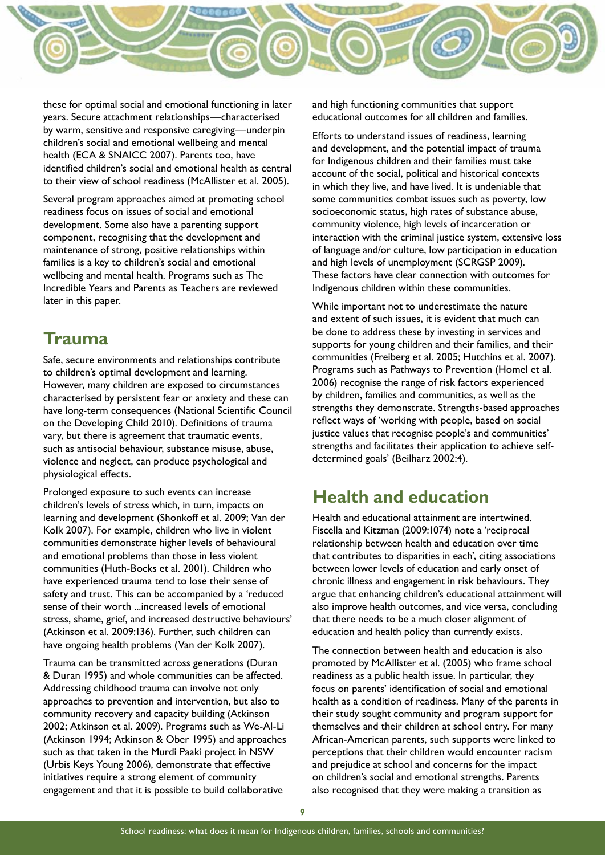

these for optimal social and emotional functioning in later years. Secure attachment relationships—characterised by warm, sensitive and responsive caregiving—underpin children's social and emotional wellbeing and mental health (ECA & SNAICC 2007). Parents too, have identified children's social and emotional health as central to their view of school readiness (McAllister et al. 2005).

Several program approaches aimed at promoting school readiness focus on issues of social and emotional development. Some also have a parenting support component, recognising that the development and maintenance of strong, positive relationships within families is a key to children's social and emotional wellbeing and mental health. Programs such as The Incredible Years and Parents as Teachers are reviewed later in this paper.

## **Trauma**

Safe, secure environments and relationships contribute to children's optimal development and learning. However, many children are exposed to circumstances characterised by persistent fear or anxiety and these can have long-term consequences (National Scientific Council on the Developing Child 2010). Definitions of trauma vary, but there is agreement that traumatic events, such as antisocial behaviour, substance misuse, abuse, violence and neglect, can produce psychological and physiological effects.

Prolonged exposure to such events can increase children's levels of stress which, in turn, impacts on learning and development (Shonkoff et al. 2009; Van der Kolk 2007). For example, children who live in violent communities demonstrate higher levels of behavioural and emotional problems than those in less violent communities (Huth-Bocks et al. 2001). Children who have experienced trauma tend to lose their sense of safety and trust. This can be accompanied by a 'reduced sense of their worth ...increased levels of emotional stress, shame, grief, and increased destructive behaviours' (Atkinson et al. 2009:136). Further, such children can have ongoing health problems (Van der Kolk 2007).

Trauma can be transmitted across generations (Duran & Duran 1995) and whole communities can be affected. Addressing childhood trauma can involve not only approaches to prevention and intervention, but also to community recovery and capacity building (Atkinson 2002; Atkinson et al. 2009). Programs such as We-Al-Li (Atkinson 1994; Atkinson & Ober 1995) and approaches such as that taken in the Murdi Paaki project in NSW (Urbis Keys Young 2006), demonstrate that effective initiatives require a strong element of community engagement and that it is possible to build collaborative

and high functioning communities that support educational outcomes for all children and families.

Efforts to understand issues of readiness, learning and development, and the potential impact of trauma for Indigenous children and their families must take account of the social, political and historical contexts in which they live, and have lived. It is undeniable that some communities combat issues such as poverty, low socioeconomic status, high rates of substance abuse, community violence, high levels of incarceration or interaction with the criminal justice system, extensive loss of language and/or culture, low participation in education and high levels of unemployment (SCRGSP 2009). These factors have clear connection with outcomes for Indigenous children within these communities.

While important not to underestimate the nature and extent of such issues, it is evident that much can be done to address these by investing in services and supports for young children and their families, and their communities (Freiberg et al. 2005; Hutchins et al. 2007). Programs such as Pathways to Prevention (Homel et al. 2006) recognise the range of risk factors experienced by children, families and communities, as well as the strengths they demonstrate. Strengths-based approaches reflect ways of 'working with people, based on social justice values that recognise people's and communities' strengths and facilitates their application to achieve selfdetermined goals' (Beilharz 2002:4).

## **Health and education**

Health and educational attainment are intertwined. Fiscella and Kitzman (2009:1074) note a 'reciprocal relationship between health and education over time that contributes to disparities in each', citing associations between lower levels of education and early onset of chronic illness and engagement in risk behaviours. They argue that enhancing children's educational attainment will also improve health outcomes, and vice versa, concluding that there needs to be a much closer alignment of education and health policy than currently exists.

The connection between health and education is also promoted by McAllister et al. (2005) who frame school readiness as a public health issue. In particular, they focus on parents' identification of social and emotional health as a condition of readiness. Many of the parents in their study sought community and program support for themselves and their children at school entry. For many African-American parents, such supports were linked to perceptions that their children would encounter racism and prejudice at school and concerns for the impact on children's social and emotional strengths. Parents also recognised that they were making a transition as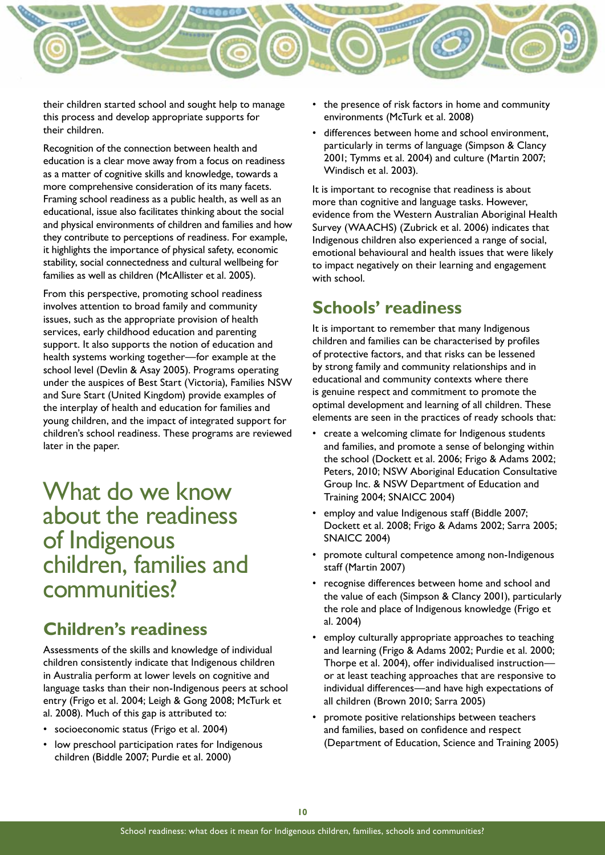

their children started school and sought help to manage this process and develop appropriate supports for their children.

Recognition of the connection between health and education is a clear move away from a focus on readiness as a matter of cognitive skills and knowledge, towards a more comprehensive consideration of its many facets. Framing school readiness as a public health, as well as an educational, issue also facilitates thinking about the social and physical environments of children and families and how they contribute to perceptions of readiness. For example, it highlights the importance of physical safety, economic stability, social connectedness and cultural wellbeing for families as well as children (McAllister et al. 2005).

From this perspective, promoting school readiness involves attention to broad family and community issues, such as the appropriate provision of health services, early childhood education and parenting support. It also supports the notion of education and health systems working together—for example at the school level (Devlin & Asay 2005). Programs operating under the auspices of Best Start (Victoria), Families NSW and Sure Start (United Kingdom) provide examples of the interplay of health and education for families and young children, and the impact of integrated support for children's school readiness. These programs are reviewed later in the paper.

What do we know about the readiness of Indigenous children, families and communities?

## **Children's readiness**

Assessments of the skills and knowledge of individual children consistently indicate that Indigenous children in Australia perform at lower levels on cognitive and language tasks than their non-Indigenous peers at school entry (Frigo et al. 2004; Leigh & Gong 2008; McTurk et al. 2008). Much of this gap is attributed to:

- socioeconomic status (Frigo et al. 2004)
- low preschool participation rates for Indigenous children (Biddle 2007; Purdie et al. 2000)
- the presence of risk factors in home and community environments (McTurk et al. 2008)
- differences between home and school environment, particularly in terms of language (Simpson & Clancy 2001; Tymms et al. 2004) and culture (Martin 2007; Windisch et al. 2003).

It is important to recognise that readiness is about more than cognitive and language tasks. However, evidence from the Western Australian Aboriginal Health Survey (WAACHS) (Zubrick et al. 2006) indicates that Indigenous children also experienced a range of social, emotional behavioural and health issues that were likely to impact negatively on their learning and engagement with school.

# **Schools' readiness**

It is important to remember that many Indigenous children and families can be characterised by profiles of protective factors, and that risks can be lessened by strong family and community relationships and in educational and community contexts where there is genuine respect and commitment to promote the optimal development and learning of all children. These elements are seen in the practices of ready schools that:

- create a welcoming climate for Indigenous students and families, and promote a sense of belonging within the school (Dockett et al. 2006; Frigo & Adams 2002; Peters, 2010; NSW Aboriginal Education Consultative Group Inc. & NSW Department of Education and Training 2004; SNAICC 2004)
- employ and value Indigenous staff (Biddle 2007; Dockett et al. 2008; Frigo & Adams 2002; Sarra 2005; SNAICC 2004)
- promote cultural competence among non-Indigenous staff (Martin 2007)
- recognise differences between home and school and the value of each (Simpson & Clancy 2001), particularly the role and place of Indigenous knowledge (Frigo et al. 2004)
- employ culturally appropriate approaches to teaching and learning (Frigo & Adams 2002; Purdie et al. 2000; Thorpe et al. 2004), offer individualised instruction or at least teaching approaches that are responsive to individual differences—and have high expectations of all children (Brown 2010; Sarra 2005)
- promote positive relationships between teachers and families, based on confidence and respect (Department of Education, Science and Training 2005)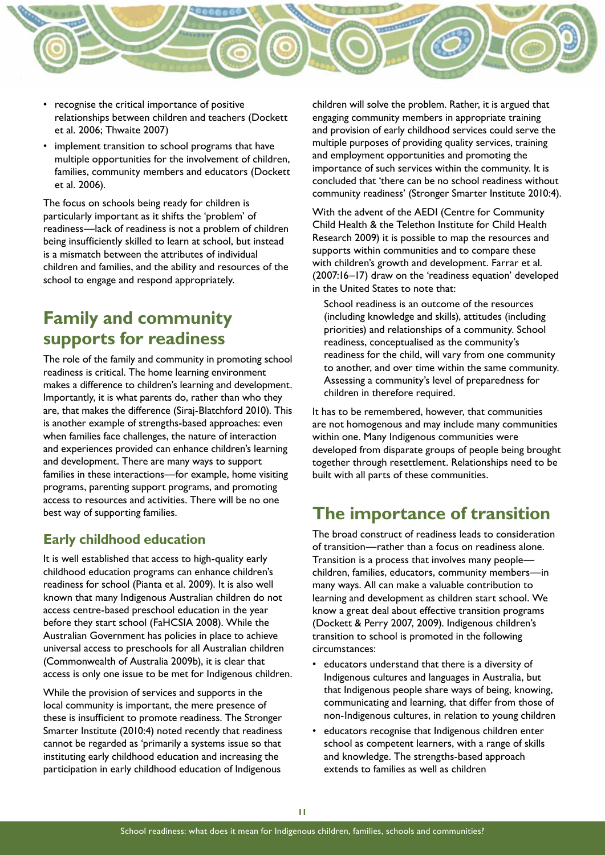

- • recognise the critical importance of positive relationships between children and teachers (Dockett et al. 2006; Thwaite 2007)
- implement transition to school programs that have multiple opportunities for the involvement of children, families, community members and educators (Dockett et al. 2006).

The focus on schools being ready for children is particularly important as it shifts the 'problem' of readiness—lack of readiness is not a problem of children being insufficiently skilled to learn at school, but instead is a mismatch between the attributes of individual children and families, and the ability and resources of the school to engage and respond appropriately.

# **Family and community supports for readiness**

The role of the family and community in promoting school readiness is critical. The home learning environment makes a difference to children's learning and development. Importantly, it is what parents do, rather than who they are, that makes the difference (Siraj-Blatchford 2010). This is another example of strengths-based approaches: even when families face challenges, the nature of interaction and experiences provided can enhance children's learning and development. There are many ways to support families in these interactions—for example, home visiting programs, parenting support programs, and promoting access to resources and activities. There will be no one best way of supporting families.

#### **Early childhood education**

It is well established that access to high-quality early childhood education programs can enhance children's readiness for school (Pianta et al. 2009). It is also well known that many Indigenous Australian children do not access centre-based preschool education in the year before they start school (FaHCSIA 2008). While the Australian Government has policies in place to achieve universal access to preschools for all Australian children (Commonwealth of Australia 2009b), it is clear that access is only one issue to be met for Indigenous children.

While the provision of services and supports in the local community is important, the mere presence of these is insufficient to promote readiness. The Stronger Smarter Institute (2010:4) noted recently that readiness cannot be regarded as 'primarily a systems issue so that instituting early childhood education and increasing the participation in early childhood education of Indigenous

children will solve the problem. Rather, it is argued that engaging community members in appropriate training and provision of early childhood services could serve the multiple purposes of providing quality services, training and employment opportunities and promoting the importance of such services within the community. It is concluded that 'there can be no school readiness without community readiness' (Stronger Smarter Institute 2010:4).

With the advent of the AEDI (Centre for Community Child Health & the Telethon Institute for Child Health Research 2009) it is possible to map the resources and supports within communities and to compare these with children's growth and development. Farrar et al. (2007:16–17) draw on the 'readiness equation' developed in the United States to note that:

School readiness is an outcome of the resources (including knowledge and skills), attitudes (including priorities) and relationships of a community. School readiness, conceptualised as the community's readiness for the child, will vary from one community to another, and over time within the same community. Assessing a community's level of preparedness for children in therefore required.

It has to be remembered, however, that communities are not homogenous and may include many communities within one. Many Indigenous communities were developed from disparate groups of people being brought together through resettlement. Relationships need to be built with all parts of these communities.

# **The importance of transition**

The broad construct of readiness leads to consideration of transition—rather than a focus on readiness alone. Transition is a process that involves many people children, families, educators, community members—in many ways. All can make a valuable contribution to learning and development as children start school. We know a great deal about effective transition programs (Dockett & Perry 2007, 2009). Indigenous children's transition to school is promoted in the following circumstances:

- educators understand that there is a diversity of Indigenous cultures and languages in Australia, but that Indigenous people share ways of being, knowing, communicating and learning, that differ from those of non-Indigenous cultures, in relation to young children
- educators recognise that Indigenous children enter school as competent learners, with a range of skills and knowledge. The strengths-based approach extends to families as well as children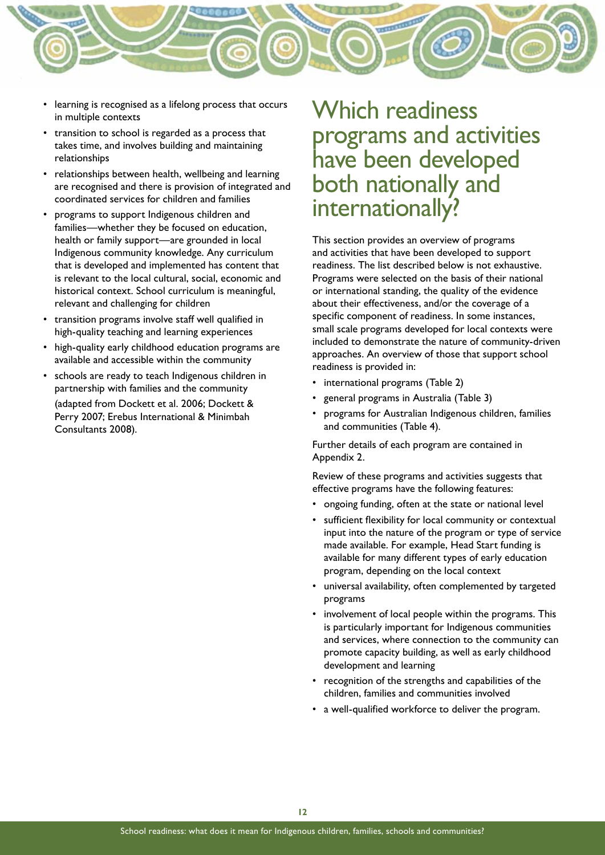

- • learning is recognised as a lifelong process that occurs in multiple contexts
- transition to school is regarded as a process that takes time, and involves building and maintaining relationships
- relationships between health, wellbeing and learning are recognised and there is provision of integrated and coordinated services for children and families
- programs to support Indigenous children and families—whether they be focused on education, health or family support—are grounded in local Indigenous community knowledge. Any curriculum that is developed and implemented has content that is relevant to the local cultural, social, economic and historical context. School curriculum is meaningful, relevant and challenging for children
- transition programs involve staff well qualified in high-quality teaching and learning experiences
- high-quality early childhood education programs are available and accessible within the community
- schools are ready to teach Indigenous children in partnership with families and the community (adapted from Dockett et al. 2006; Dockett & Perry 2007; Erebus International & Minimbah Consultants 2008).

# Which readiness programs and activities have been developed both nationally and internationally?

This section provides an overview of programs and activities that have been developed to support readiness. The list described below is not exhaustive. Programs were selected on the basis of their national or international standing, the quality of the evidence about their effectiveness, and/or the coverage of a specific component of readiness. In some instances, small scale programs developed for local contexts were included to demonstrate the nature of community-driven approaches. An overview of those that support school readiness is provided in:

- international programs (Table 2)
- general programs in Australia (Table 3)
- programs for Australian Indigenous children, families and communities (Table 4).

Further details of each program are contained in Appendix 2.

Review of these programs and activities suggests that effective programs have the following features:

- ongoing funding, often at the state or national level
- • sufficient flexibility for local community or contextual input into the nature of the program or type of service made available. For example, Head Start funding is available for many different types of early education program, depending on the local context
- universal availability, often complemented by targeted programs
- involvement of local people within the programs. This is particularly important for Indigenous communities and services, where connection to the community can promote capacity building, as well as early childhood development and learning
- recognition of the strengths and capabilities of the children, families and communities involved
- a well-qualified workforce to deliver the program.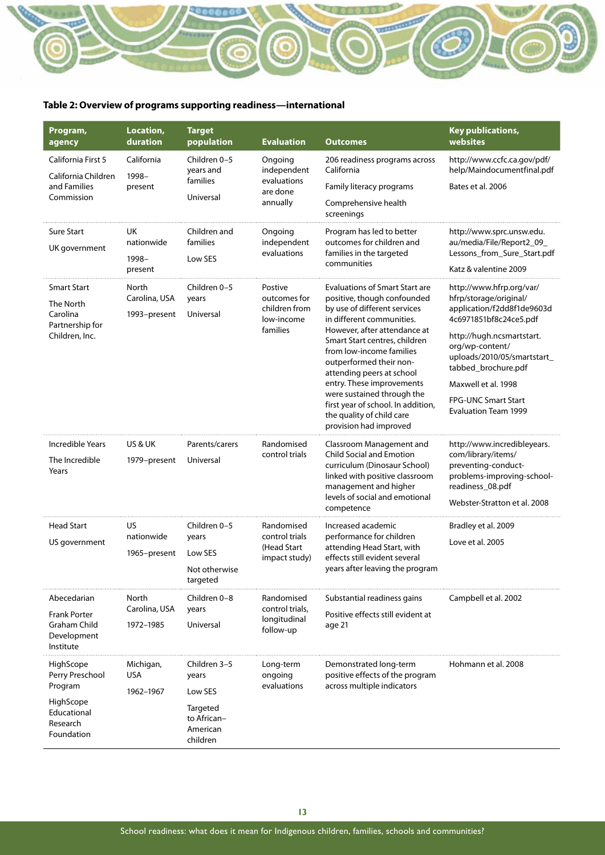# **MARITINE**

#### **Table 2: Overview of programs supporting readiness—international**

| Program,<br>agency                                                     | Location,<br>duration                  | <b>Target</b><br>population                     | <b>Evaluation</b>                                                  | <b>Outcomes</b>                                                                                                                                                   | Key publications,<br>websites                                                                              |
|------------------------------------------------------------------------|----------------------------------------|-------------------------------------------------|--------------------------------------------------------------------|-------------------------------------------------------------------------------------------------------------------------------------------------------------------|------------------------------------------------------------------------------------------------------------|
| California First 5<br>California Children<br>and Families              | California<br>1998-<br>present         | Children 0-5<br>years and<br>families           | Ongoing<br>independent<br>evaluations<br>are done                  | 206 readiness programs across<br>California<br>Family literacy programs                                                                                           | http://www.ccfc.ca.gov/pdf/<br>help/Maindocumentfinal.pdf<br>Bates et al. 2006                             |
| Commission                                                             |                                        | Universal                                       | annually                                                           | Comprehensive health<br>screenings                                                                                                                                |                                                                                                            |
| <b>Sure Start</b><br>UK government                                     | UK<br>nationwide<br>1998-              | Children and<br>families<br>Low SES             | Ongoing<br>independent<br>evaluations                              | Program has led to better<br>outcomes for children and<br>families in the targeted                                                                                | http://www.sprc.unsw.edu.<br>au/media/File/Report2_09_<br>Lessons_from_Sure_Start.pdf                      |
|                                                                        | present                                |                                                 |                                                                    | communities                                                                                                                                                       | Katz & valentine 2009                                                                                      |
| <b>Smart Start</b><br>The North<br>Carolina<br>Partnership for         | North<br>Carolina, USA<br>1993-present | Children 0-5<br>years<br>Universal              | Postive<br>outcomes for<br>children from<br>low-income<br>families | <b>Evaluations of Smart Start are</b><br>positive, though confounded<br>by use of different services<br>in different communities.<br>However, after attendance at | http://www.hfrp.org/var/<br>hfrp/storage/original/<br>application/f2dd8f1de9603d<br>4c6971851bf8c24ce5.pdf |
| Children, Inc.                                                         |                                        |                                                 |                                                                    | Smart Start centres, children<br>from low-income families<br>outperformed their non-<br>attending peers at school                                                 | http://hugh.ncsmartstart.<br>org/wp-content/<br>uploads/2010/05/smartstart_<br>tabbed_brochure.pdf         |
|                                                                        |                                        |                                                 |                                                                    | entry. These improvements                                                                                                                                         | Maxwell et al. 1998                                                                                        |
|                                                                        |                                        |                                                 |                                                                    | were sustained through the<br>first year of school. In addition,<br>the quality of child care<br>provision had improved                                           | <b>FPG-UNC Smart Start</b><br><b>Evaluation Team 1999</b>                                                  |
| Incredible Years                                                       | <b>US &amp; UK</b>                     | Parents/carers                                  | Randomised                                                         | Classroom Management and                                                                                                                                          | http://www.incredibleyears.                                                                                |
| The Incredible<br>Years                                                | 1979-present                           | Universal                                       | control trials                                                     | <b>Child Social and Emotion</b><br>curriculum (Dinosaur School)<br>linked with positive classroom<br>management and higher                                        | com/library/items/<br>preventing-conduct-<br>problems-improving-school-<br>readiness_08.pdf                |
|                                                                        |                                        |                                                 |                                                                    | levels of social and emotional<br>competence                                                                                                                      | Webster-Stratton et al. 2008                                                                               |
| <b>Head Start</b>                                                      | US.                                    | Children 0-5                                    | Randomised                                                         | Increased academic                                                                                                                                                | Bradley et al. 2009                                                                                        |
| US government                                                          | nationwide                             | years                                           | control trials<br>(Head Start                                      | performance for children<br>attending Head Start, with                                                                                                            | Love et al. 2005                                                                                           |
|                                                                        | 1965-present                           | Low SES                                         | impact study)                                                      | effects still evident several<br>years after leaving the program                                                                                                  |                                                                                                            |
|                                                                        |                                        | Not otherwise<br>targeted                       |                                                                    |                                                                                                                                                                   |                                                                                                            |
| Abecedarian                                                            | North                                  | Children 0–8                                    | Randomised                                                         | Substantial readiness gains                                                                                                                                       | Campbell et al. 2002                                                                                       |
| <b>Frank Porter</b><br><b>Graham Child</b><br>Development<br>Institute | Carolina, USA<br>1972-1985             | years<br>Universal                              | control trials,<br>longitudinal<br>follow-up                       | Positive effects still evident at<br>age 21                                                                                                                       |                                                                                                            |
| HighScope<br>Perry Preschool<br>Program                                | Michigan,<br><b>USA</b><br>1962-1967   | Children 3-5<br>years<br>Low SES                | Long-term<br>ongoing<br>evaluations                                | Demonstrated long-term<br>positive effects of the program<br>across multiple indicators                                                                           | Hohmann et al. 2008                                                                                        |
| HighScope<br>Educational<br>Research<br>Foundation                     |                                        | Targeted<br>to African-<br>American<br>children |                                                                    |                                                                                                                                                                   |                                                                                                            |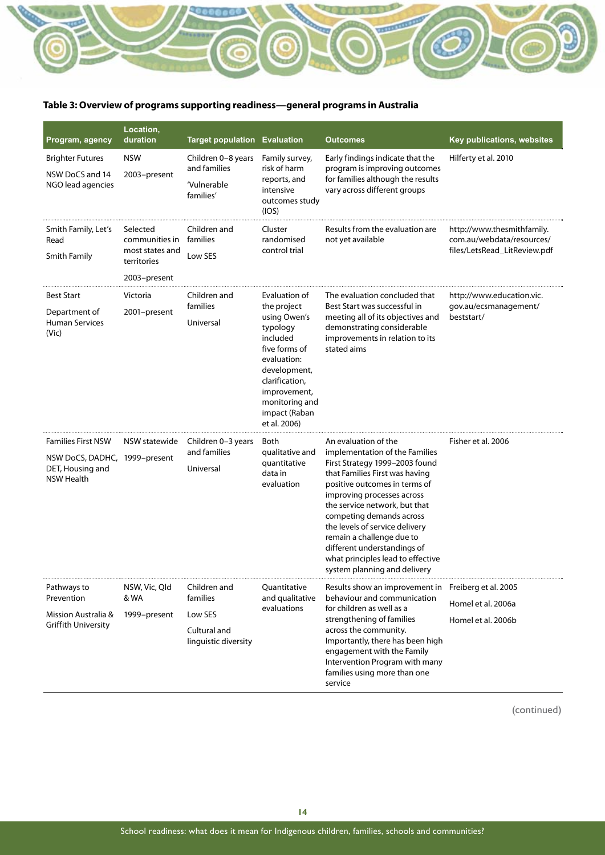#### **Table 3: Overview of programs supporting readiness—general programs in Australia**

ិ

| Program, agency                                                                                     | Location,<br>duration                                                        | <b>Target population Evaluation</b>                                         |                                                                                                                                                                                                           | <b>Outcomes</b>                                                                                                                                                                                                                                                                                                                                                                                                           | Key publications, websites                                                              |
|-----------------------------------------------------------------------------------------------------|------------------------------------------------------------------------------|-----------------------------------------------------------------------------|-----------------------------------------------------------------------------------------------------------------------------------------------------------------------------------------------------------|---------------------------------------------------------------------------------------------------------------------------------------------------------------------------------------------------------------------------------------------------------------------------------------------------------------------------------------------------------------------------------------------------------------------------|-----------------------------------------------------------------------------------------|
| <b>Brighter Futures</b><br>NSW DoCS and 14<br>NGO lead agencies                                     | <b>NSW</b><br>2003-present                                                   | Children 0-8 years<br>and families<br>'Vulnerable<br>families'              | Family survey,<br>risk of harm<br>reports, and<br>intensive<br>outcomes study<br>(IOS)                                                                                                                    | Early findings indicate that the<br>program is improving outcomes<br>for families although the results<br>vary across different groups                                                                                                                                                                                                                                                                                    | Hilferty et al. 2010                                                                    |
| Smith Family, Let's<br>Read<br>Smith Family                                                         | Selected<br>communities in<br>most states and<br>territories<br>2003–present | Children and<br>families<br>Low SES                                         | Cluster<br>randomised<br>control trial                                                                                                                                                                    | Results from the evaluation are<br>not yet available                                                                                                                                                                                                                                                                                                                                                                      | http://www.thesmithfamily.<br>com.au/webdata/resources/<br>files/LetsRead_LitReview.pdf |
| <b>Best Start</b><br>Department of<br><b>Human Services</b><br>(Vic)                                | Victoria<br>2001-present                                                     | Children and<br>families<br>Universal                                       | Evaluation of<br>the project<br>using Owen's<br>typology<br>included<br>five forms of<br>evaluation:<br>development,<br>clarification,<br>improvement,<br>monitoring and<br>impact (Raban<br>et al. 2006) | The evaluation concluded that<br>Best Start was successful in<br>meeting all of its objectives and<br>demonstrating considerable<br>improvements in relation to its<br>stated aims                                                                                                                                                                                                                                        | http://www.education.vic.<br>gov.au/ecsmanagement/<br>beststart/                        |
| <b>Families First NSW</b><br>NSW DoCS, DADHC, 1999-present<br>DET, Housing and<br><b>NSW Health</b> | NSW statewide                                                                | Children 0-3 years<br>and families<br>Universal                             | Both<br>qualitative and<br>quantitative<br>data in<br>evaluation                                                                                                                                          | An evaluation of the<br>implementation of the Families<br>First Strategy 1999-2003 found<br>that Families First was having<br>positive outcomes in terms of<br>improving processes across<br>the service network, but that<br>competing demands across<br>the levels of service delivery<br>remain a challenge due to<br>different understandings of<br>what principles lead to effective<br>system planning and delivery | Fisher et al. 2006                                                                      |
| Pathways to<br>Prevention<br>Mission Australia &<br><b>Griffith University</b>                      | NSW, Vic, Qld<br>& WA<br>1999-present                                        | Children and<br>families<br>Low SES<br>Cultural and<br>linguistic diversity | Quantitative<br>and qualitative<br>evaluations                                                                                                                                                            | Results show an improvement in Freiberg et al. 2005<br>behaviour and communication<br>for children as well as a<br>strengthening of families<br>across the community.<br>Importantly, there has been high<br>engagement with the Family<br>Intervention Program with many<br>families using more than one<br>service                                                                                                      | Homel et al. 2006a<br>Homel et al. 2006b                                                |

<u>vournance</u>

(continued)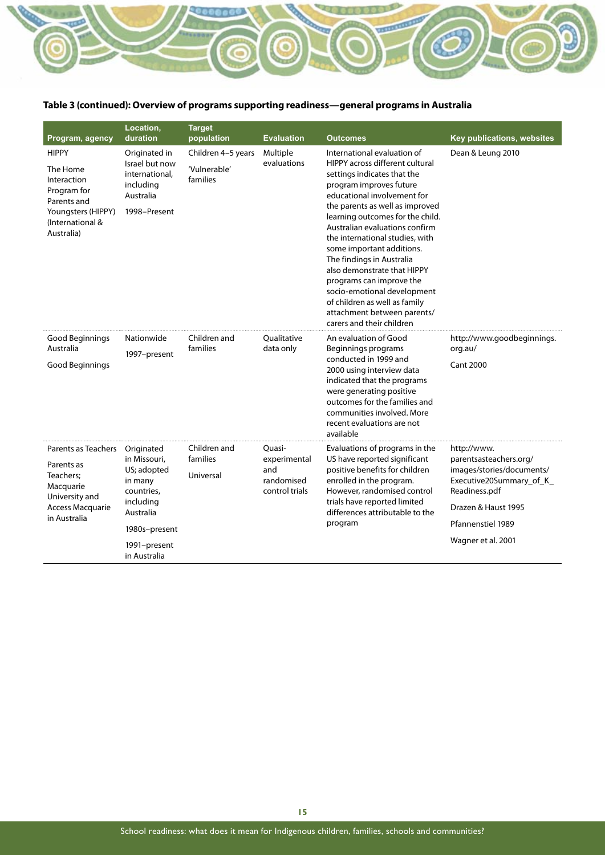

#### **Table 3 (continued): Overview of programs supporting readiness—general programs in Australia**

| Program, agency                                                                                                               | Location,<br>duration                                                                                                                         | <b>Target</b><br>population                    | <b>Evaluation</b>                                             | <b>Outcomes</b>                                                                                                                                                                                                                                                                                                                                                                                                                                                                                                                                      | Key publications, websites                                                                                                                                                        |
|-------------------------------------------------------------------------------------------------------------------------------|-----------------------------------------------------------------------------------------------------------------------------------------------|------------------------------------------------|---------------------------------------------------------------|------------------------------------------------------------------------------------------------------------------------------------------------------------------------------------------------------------------------------------------------------------------------------------------------------------------------------------------------------------------------------------------------------------------------------------------------------------------------------------------------------------------------------------------------------|-----------------------------------------------------------------------------------------------------------------------------------------------------------------------------------|
| <b>HIPPY</b><br>The Home<br>Interaction<br>Program for<br>Parents and<br>Youngsters (HIPPY)<br>(International &<br>Australia) | Originated in<br>Israel but now<br>international,<br>including<br>Australia<br>1998-Present                                                   | Children 4-5 years<br>'Vulnerable'<br>families | Multiple<br>evaluations                                       | International evaluation of<br>HIPPY across different cultural<br>settings indicates that the<br>program improves future<br>educational involvement for<br>the parents as well as improved<br>learning outcomes for the child.<br>Australian evaluations confirm<br>the international studies, with<br>some important additions.<br>The findings in Australia<br>also demonstrate that HIPPY<br>programs can improve the<br>socio-emotional development<br>of children as well as family<br>attachment between parents/<br>carers and their children | Dean & Leung 2010                                                                                                                                                                 |
| Good Beginnings<br>Australia<br>Good Beginnings                                                                               | Nationwide<br>1997-present                                                                                                                    | Children and<br>families                       | Oualitative<br>data only                                      | An evaluation of Good<br>Beginnings programs<br>conducted in 1999 and<br>2000 using interview data<br>indicated that the programs<br>were generating positive<br>outcomes for the families and<br>communities involved. More<br>recent evaluations are not<br>available                                                                                                                                                                                                                                                                              | http://www.goodbeginnings.<br>org.au/<br><b>Cant 2000</b>                                                                                                                         |
| Parents as Teachers<br>Parents as<br>Teachers;<br>Macquarie<br>University and<br><b>Access Macquarie</b><br>in Australia      | Originated<br>in Missouri,<br>US; adopted<br>in many<br>countries,<br>including<br>Australia<br>1980s-present<br>1991-present<br>in Australia | Children and<br>families<br>Universal          | Quasi-<br>experimental<br>and<br>randomised<br>control trials | Evaluations of programs in the<br>US have reported significant<br>positive benefits for children<br>enrolled in the program.<br>However, randomised control<br>trials have reported limited<br>differences attributable to the<br>program                                                                                                                                                                                                                                                                                                            | http://www.<br>parentsasteachers.org/<br>images/stories/documents/<br>Executive20Summary_of_K_<br>Readiness.pdf<br>Drazen & Haust 1995<br>Pfannenstiel 1989<br>Wagner et al. 2001 |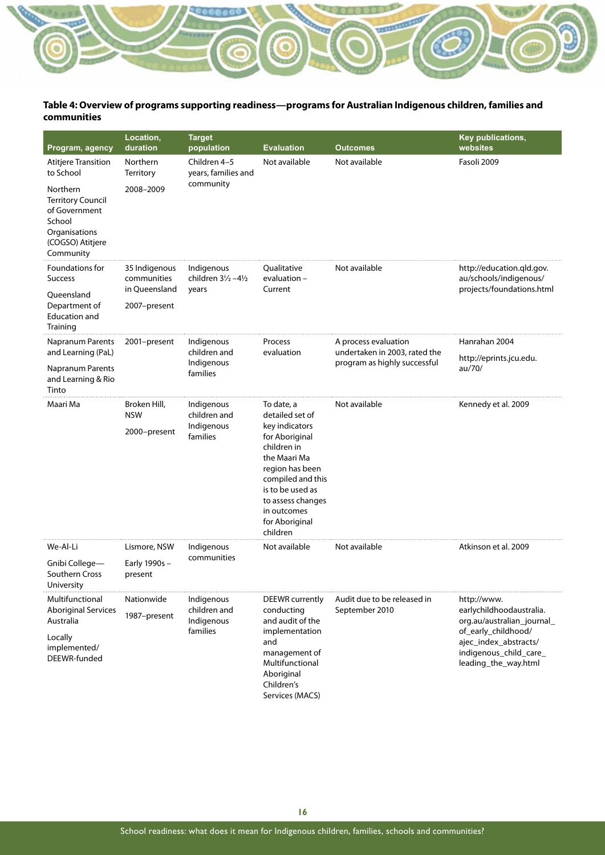#### **Table 4: Overview of programs supporting readiness—programs for Australian Indigenous children, families and communities**

**URBERTON** 

| Program, agency                                                                                                   | Location,<br>duration                      | <b>Target</b><br>population                          | <b>Evaluation</b>                                                                                                                                                                                                              | <b>Outcomes</b>                                       | <b>Key publications,</b><br>websites                                                                                                                                    |
|-------------------------------------------------------------------------------------------------------------------|--------------------------------------------|------------------------------------------------------|--------------------------------------------------------------------------------------------------------------------------------------------------------------------------------------------------------------------------------|-------------------------------------------------------|-------------------------------------------------------------------------------------------------------------------------------------------------------------------------|
| <b>Atitjere Transition</b><br>to School                                                                           | Northern<br>Territory                      | Children 4-5<br>years, families and                  | Not available                                                                                                                                                                                                                  | Not available                                         | Fasoli 2009                                                                                                                                                             |
| Northern<br><b>Territory Council</b><br>of Government<br>School<br>Organisations<br>(COGSO) Atitjere<br>Community | 2008-2009                                  | community                                            |                                                                                                                                                                                                                                |                                                       |                                                                                                                                                                         |
| Foundations for<br><b>Success</b>                                                                                 | 35 Indigenous<br>communities               | Indigenous<br>children $3\frac{1}{2} - 4\frac{1}{2}$ | Qualitative<br>evaluation -                                                                                                                                                                                                    | Not available                                         | http://education.gld.gov.<br>au/schools/indigenous/                                                                                                                     |
| Queensland                                                                                                        | in Queensland                              | years                                                | Current                                                                                                                                                                                                                        |                                                       | projects/foundations.html                                                                                                                                               |
| Department of<br><b>Education and</b><br>Training                                                                 | 2007-present                               |                                                      |                                                                                                                                                                                                                                |                                                       |                                                                                                                                                                         |
| <b>Napranum Parents</b><br>and Learning (PaL)                                                                     | 2001-present                               | Indigenous<br>children and                           | Process<br>evaluation                                                                                                                                                                                                          | A process evaluation<br>undertaken in 2003, rated the | Hanrahan 2004                                                                                                                                                           |
| Napranum Parents<br>and Learning & Rio<br>Tinto                                                                   |                                            | Indigenous<br>families                               |                                                                                                                                                                                                                                | program as highly successful                          | http://eprints.jcu.edu.<br>au/70/                                                                                                                                       |
| Maari Ma                                                                                                          | Broken Hill,<br><b>NSW</b><br>2000-present | Indigenous<br>children and<br>Indigenous<br>families | To date, a<br>detailed set of<br>key indicators<br>for Aboriginal<br>children in<br>the Maari Ma<br>region has been<br>compiled and this<br>is to be used as<br>to assess changes<br>in outcomes<br>for Aboriginal<br>children | Not available                                         | Kennedy et al. 2009                                                                                                                                                     |
| We-Al-Li                                                                                                          | Lismore, NSW                               | Indigenous<br>communities                            | Not available                                                                                                                                                                                                                  | Not available                                         | Atkinson et al. 2009                                                                                                                                                    |
| Gnibi College-<br>Southern Cross<br>University                                                                    | Early 1990s-<br>present                    |                                                      |                                                                                                                                                                                                                                |                                                       |                                                                                                                                                                         |
| Multifunctional<br><b>Aboriginal Services</b><br>Australia<br>Locally<br>implemented/<br>DEEWR-funded             | Nationwide<br>1987-present                 | Indigenous<br>children and<br>Indigenous<br>families | DEEWR currently<br>conducting<br>and audit of the<br>implementation<br>and<br>management of<br>Multifunctional<br>Aboriginal<br>Children's                                                                                     | Audit due to be released in<br>September 2010         | http://www.<br>earlychildhoodaustralia.<br>org.au/australian_journal_<br>of_early_childhood/<br>ajec_index_abstracts/<br>indigenous_child_care_<br>leading_the_way.html |
|                                                                                                                   |                                            | Services (MACS)                                      |                                                                                                                                                                                                                                |                                                       |                                                                                                                                                                         |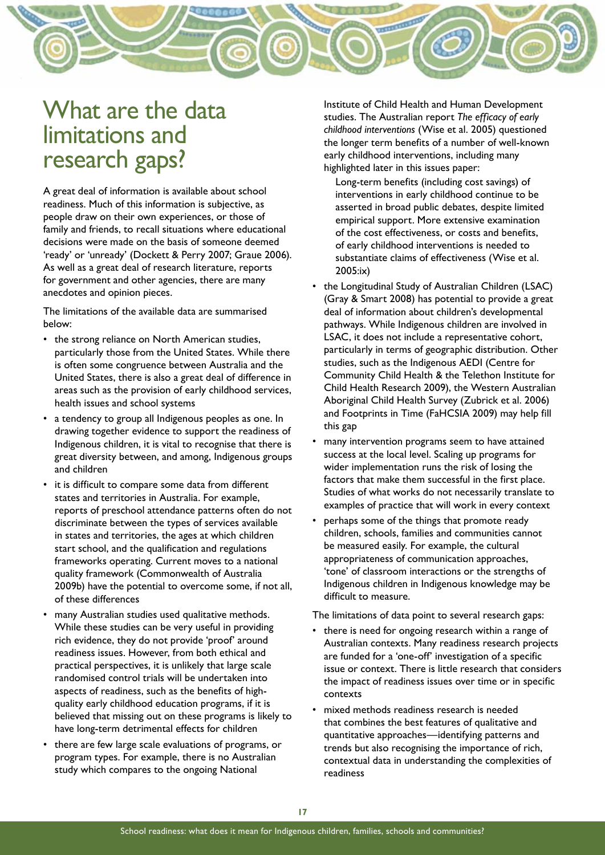

# What are the data limitations and research gaps?

A great deal of information is available about school readiness. Much of this information is subjective, as people draw on their own experiences, or those of family and friends, to recall situations where educational decisions were made on the basis of someone deemed 'ready' or 'unready' (Dockett & Perry 2007; Graue 2006). As well as a great deal of research literature, reports for government and other agencies, there are many anecdotes and opinion pieces.

The limitations of the available data are summarised below:

- the strong reliance on North American studies, particularly those from the United States. While there is often some congruence between Australia and the United States, there is also a great deal of difference in areas such as the provision of early childhood services, health issues and school systems
- a tendency to group all Indigenous peoples as one. In drawing together evidence to support the readiness of Indigenous children, it is vital to recognise that there is great diversity between, and among, Indigenous groups and children
- it is difficult to compare some data from different states and territories in Australia. For example, reports of preschool attendance patterns often do not discriminate between the types of services available in states and territories, the ages at which children start school, and the qualification and regulations frameworks operating. Current moves to a national quality framework (Commonwealth of Australia 2009b) have the potential to overcome some, if not all, of these differences
- many Australian studies used qualitative methods. While these studies can be very useful in providing rich evidence, they do not provide 'proof' around readiness issues. However, from both ethical and practical perspectives, it is unlikely that large scale randomised control trials will be undertaken into aspects of readiness, such as the benefits of highquality early childhood education programs, if it is believed that missing out on these programs is likely to have long-term detrimental effects for children
- there are few large scale evaluations of programs, or program types. For example, there is no Australian study which compares to the ongoing National

Institute of Child Health and Human Development studies. The Australian report *The efficacy of early childhood interventions* (Wise et al. 2005) questioned the longer term benefits of a number of well-known early childhood interventions, including many highlighted later in this issues paper:

Long-term benefits (including cost savings) of interventions in early childhood continue to be asserted in broad public debates, despite limited empirical support. More extensive examination of the cost effectiveness, or costs and benefits, of early childhood interventions is needed to substantiate claims of effectiveness (Wise et al. 2005:ix)

- the Longitudinal Study of Australian Children (LSAC) (Gray & Smart 2008) has potential to provide a great deal of information about children's developmental pathways. While Indigenous children are involved in LSAC, it does not include a representative cohort, particularly in terms of geographic distribution. Other studies, such as the Indigenous AEDI (Centre for Community Child Health & the Telethon Institute for Child Health Research 2009), the Western Australian Aboriginal Child Health Survey (Zubrick et al. 2006) and Footprints in Time (FaHCSIA 2009) may help fill this gap
- many intervention programs seem to have attained success at the local level. Scaling up programs for wider implementation runs the risk of losing the factors that make them successful in the first place. Studies of what works do not necessarily translate to examples of practice that will work in every context
- perhaps some of the things that promote ready children, schools, families and communities cannot be measured easily. For example, the cultural appropriateness of communication approaches, 'tone' of classroom interactions or the strengths of Indigenous children in Indigenous knowledge may be difficult to measure.

The limitations of data point to several research gaps:

- there is need for ongoing research within a range of Australian contexts. Many readiness research projects are funded for a 'one-off' investigation of a specific issue or context. There is little research that considers the impact of readiness issues over time or in specific contexts
- mixed methods readiness research is needed that combines the best features of qualitative and quantitative approaches—identifying patterns and trends but also recognising the importance of rich, contextual data in understanding the complexities of readiness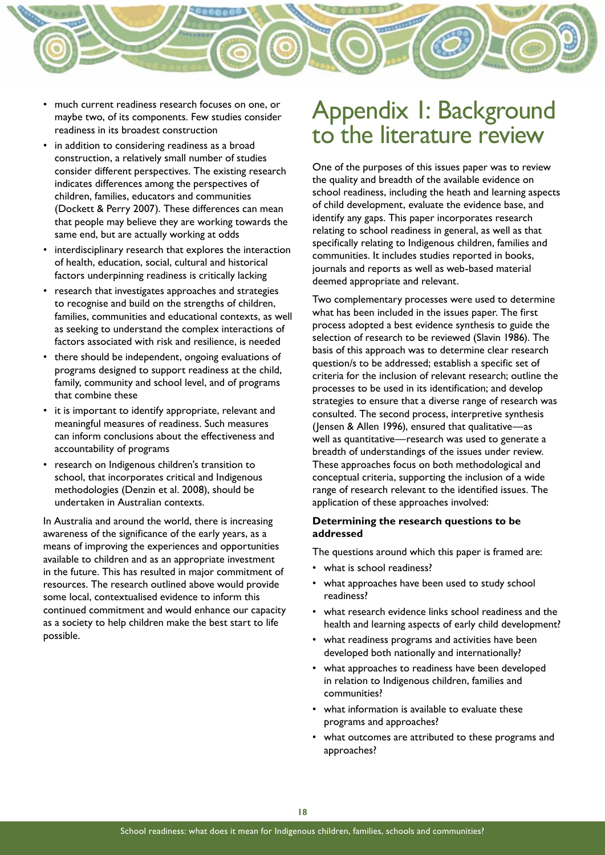

- much current readiness research focuses on one, or maybe two, of its components. Few studies consider readiness in its broadest construction
- in addition to considering readiness as a broad construction, a relatively small number of studies consider different perspectives. The existing research indicates differences among the perspectives of children, families, educators and communities (Dockett & Perry 2007). These differences can mean that people may believe they are working towards the same end, but are actually working at odds
- interdisciplinary research that explores the interaction of health, education, social, cultural and historical factors underpinning readiness is critically lacking
- research that investigates approaches and strategies to recognise and build on the strengths of children, families, communities and educational contexts, as well as seeking to understand the complex interactions of factors associated with risk and resilience, is needed
- there should be independent, ongoing evaluations of programs designed to support readiness at the child, family, community and school level, and of programs that combine these
- it is important to identify appropriate, relevant and meaningful measures of readiness. Such measures can inform conclusions about the effectiveness and accountability of programs
- research on Indigenous children's transition to school, that incorporates critical and Indigenous methodologies (Denzin et al. 2008), should be undertaken in Australian contexts.

In Australia and around the world, there is increasing awareness of the significance of the early years, as a means of improving the experiences and opportunities available to children and as an appropriate investment in the future. This has resulted in major commitment of resources. The research outlined above would provide some local, contextualised evidence to inform this continued commitment and would enhance our capacity as a society to help children make the best start to life possible.

# Appendix 1: Background to the literature review

One of the purposes of this issues paper was to review the quality and breadth of the available evidence on school readiness, including the heath and learning aspects of child development, evaluate the evidence base, and identify any gaps. This paper incorporates research relating to school readiness in general, as well as that specifically relating to Indigenous children, families and communities. It includes studies reported in books, journals and reports as well as web-based material deemed appropriate and relevant.

Two complementary processes were used to determine what has been included in the issues paper. The first process adopted a best evidence synthesis to guide the selection of research to be reviewed (Slavin 1986). The basis of this approach was to determine clear research question/s to be addressed; establish a specific set of criteria for the inclusion of relevant research; outline the processes to be used in its identification; and develop strategies to ensure that a diverse range of research was consulted. The second process, interpretive synthesis (Jensen & Allen 1996), ensured that qualitative—as well as quantitative—research was used to generate a breadth of understandings of the issues under review. These approaches focus on both methodological and conceptual criteria, supporting the inclusion of a wide range of research relevant to the identified issues. The application of these approaches involved:

#### **Determining the research questions to be addressed**

The questions around which this paper is framed are:

- what is school readiness?
- what approaches have been used to study school readiness?
- what research evidence links school readiness and the health and learning aspects of early child development?
- what readiness programs and activities have been developed both nationally and internationally?
- what approaches to readiness have been developed in relation to Indigenous children, families and communities?
- what information is available to evaluate these programs and approaches?
- what outcomes are attributed to these programs and approaches?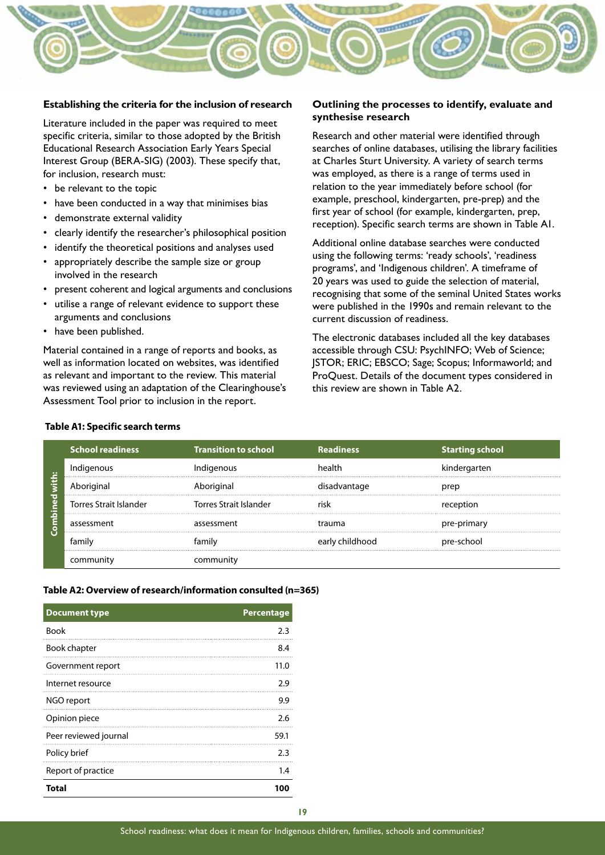

#### **Establishing the criteria for the inclusion of research**

Literature included in the paper was required to meet specific criteria, similar to those adopted by the British Educational Research Association Early Years Special Interest Group (BERA-SIG) (2003). These specify that, for inclusion, research must:

- be relevant to the topic
- have been conducted in a way that minimises bias
- • demonstrate external validity
- clearly identify the researcher's philosophical position
- identify the theoretical positions and analyses used
- appropriately describe the sample size or group involved in the research
- present coherent and logical arguments and conclusions
- utilise a range of relevant evidence to support these arguments and conclusions
- have been published.

Material contained in a range of reports and books, as well as information located on websites, was identified as relevant and important to the review. This material was reviewed using an adaptation of the Clearinghouse's Assessment Tool prior to inclusion in the report.

#### **Outlining the processes to identify, evaluate and synthesise research**

Research and other material were identified through searches of online databases, utilising the library facilities at Charles Sturt University. A variety of search terms was employed, as there is a range of terms used in relation to the year immediately before school (for example, preschool, kindergarten, pre-prep) and the first year of school (for example, kindergarten, prep, reception). Specific search terms are shown in Table A1.

Additional online database searches were conducted using the following terms: 'ready schools', 'readiness programs', and 'Indigenous children'. A timeframe of 20 years was used to guide the selection of material, recognising that some of the seminal United States works were published in the 1990s and remain relevant to the current discussion of readiness.

The electronic databases included all the key databases accessible through CSU: PsychINFO; Web of Science; JSTOR; ERIC; EBSCO; Sage; Scopus; Informaworld; and ProQuest. Details of the document types considered in this review are shown in Table A2.

#### **Table A1: Specific search terms**

|                                               | <b>School readiness</b>       | <b>Transition to school</b> | <b>Readiness</b> | <b>Starting school</b> |
|-----------------------------------------------|-------------------------------|-----------------------------|------------------|------------------------|
| $\ddot{\phantom{0}}\phantom{0}\bullet\bullet$ | Indigenous                    | Indigenous                  | health           | kindergarten           |
| . .<br>--                                     | Aboriginal                    | Aboriginal                  | disadvantage     |                        |
| ā                                             | <b>Torres Strait Islander</b> | Torres Strait Islander      |                  | reception              |
|                                               | assessment                    | assessment                  | trauma           | pre-primary            |
|                                               | tamil                         |                             | early childhood  | pre-school             |
|                                               |                               |                             |                  |                        |

#### **Table A2: Overview of research/information consulted (n=365)**

| <b>Document type</b>  | <b>Percentage</b> |
|-----------------------|-------------------|
| <b>Book</b>           | 2.3               |
| <b>Book chapter</b>   | 8.4               |
| Government report     | 11.0              |
| Internet resource     | 2.9               |
| NGO report            | 9.9               |
| Opinion piece         | 2.6               |
| Peer reviewed journal | 59.1              |
| Policy brief          | 2.3               |
| Report of practice    | 1.4               |
| Total                 | 100               |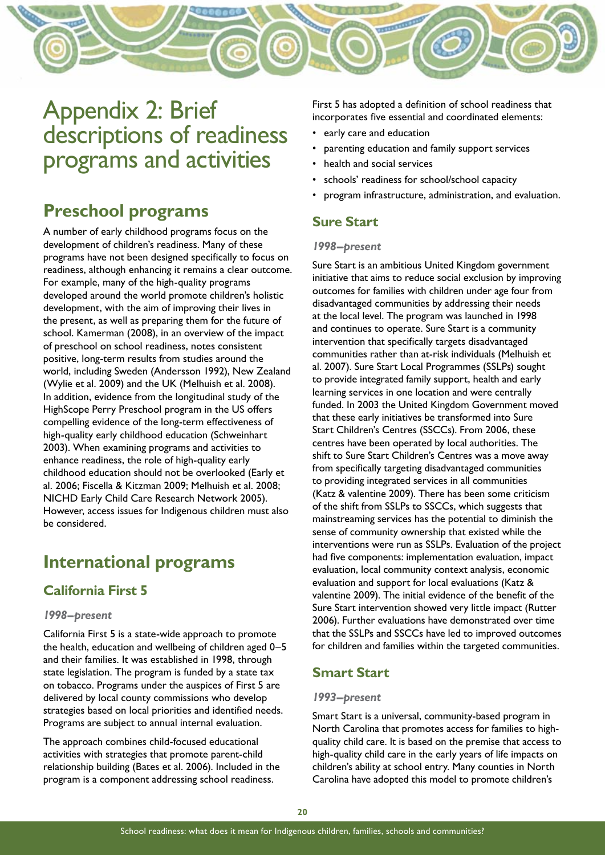

# Appendix 2: Brief descriptions of readiness programs and activities

# **Preschool programs**

A number of early childhood programs focus on the development of children's readiness. Many of these programs have not been designed specifically to focus on readiness, although enhancing it remains a clear outcome. For example, many of the high-quality programs developed around the world promote children's holistic development, with the aim of improving their lives in the present, as well as preparing them for the future of school. Kamerman (2008), in an overview of the impact of preschool on school readiness, notes consistent positive, long-term results from studies around the world, including Sweden (Andersson 1992), New Zealand (Wylie et al. 2009) and the UK (Melhuish et al. 2008). In addition, evidence from the longitudinal study of the HighScope Perry Preschool program in the US offers compelling evidence of the long-term effectiveness of high-quality early childhood education (Schweinhart 2003). When examining programs and activities to enhance readiness, the role of high-quality early childhood education should not be overlooked (Early et al. 2006; Fiscella & Kitzman 2009; Melhuish et al. 2008; NICHD Early Child Care Research Network 2005). However, access issues for Indigenous children must also be considered.

## **International programs**

## **California First 5**

#### *1998–present*

California First 5 is a state-wide approach to promote the health, education and wellbeing of children aged 0–5 and their families. It was established in 1998, through state legislation. The program is funded by a state tax on tobacco. Programs under the auspices of First 5 are delivered by local county commissions who develop strategies based on local priorities and identified needs. Programs are subject to annual internal evaluation.

The approach combines child-focused educational activities with strategies that promote parent-child relationship building (Bates et al. 2006). Included in the program is a component addressing school readiness.

First 5 has adopted a definition of school readiness that incorporates five essential and coordinated elements:

- early care and education
- parenting education and family support services
- health and social services
- schools' readiness for school/school capacity
- program infrastructure, administration, and evaluation.

#### **Sure Start**

#### *1998–present*

Sure Start is an ambitious United Kingdom government initiative that aims to reduce social exclusion by improving outcomes for families with children under age four from disadvantaged communities by addressing their needs at the local level. The program was launched in 1998 and continues to operate. Sure Start is a community intervention that specifically targets disadvantaged communities rather than at-risk individuals (Melhuish et al. 2007). Sure Start Local Programmes (SSLPs) sought to provide integrated family support, health and early learning services in one location and were centrally funded. In 2003 the United Kingdom Government moved that these early initiatives be transformed into Sure Start Children's Centres (SSCCs). From 2006, these centres have been operated by local authorities. The shift to Sure Start Children's Centres was a move away from specifically targeting disadvantaged communities to providing integrated services in all communities (Katz & valentine 2009). There has been some criticism of the shift from SSLPs to SSCCs, which suggests that mainstreaming services has the potential to diminish the sense of community ownership that existed while the interventions were run as SSLPs. Evaluation of the project had five components: implementation evaluation, impact evaluation, local community context analysis, economic evaluation and support for local evaluations (Katz & valentine 2009). The initial evidence of the benefit of the Sure Start intervention showed very little impact (Rutter 2006). Further evaluations have demonstrated over time that the SSLPs and SSCCs have led to improved outcomes for children and families within the targeted communities.

## **Smart Start**

#### *1993–present*

Smart Start is a universal, community-based program in North Carolina that promotes access for families to highquality child care. It is based on the premise that access to high-quality child care in the early years of life impacts on children's ability at school entry. Many counties in North Carolina have adopted this model to promote children's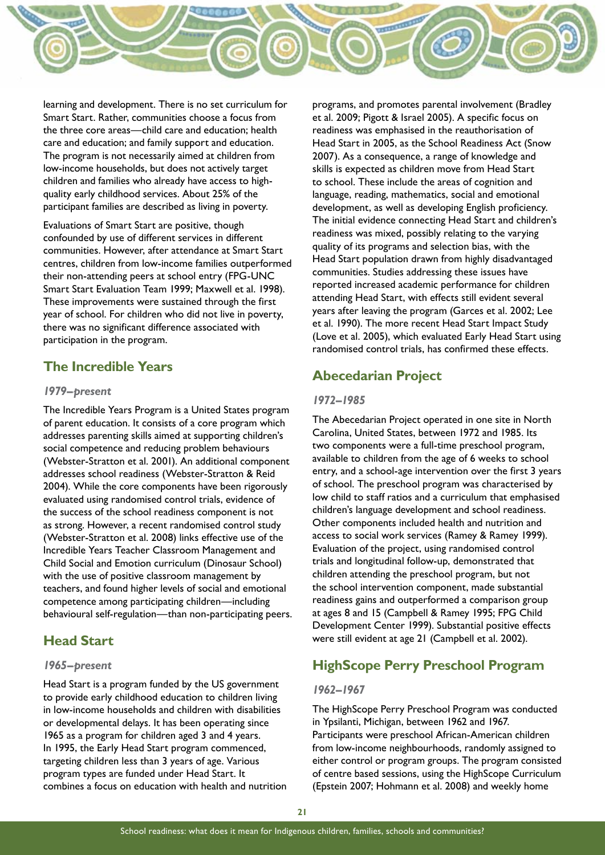

learning and development. There is no set curriculum for Smart Start. Rather, communities choose a focus from the three core areas—child care and education; health care and education; and family support and education. The program is not necessarily aimed at children from low-income households, but does not actively target children and families who already have access to highquality early childhood services. About 25% of the participant families are described as living in poverty.

Evaluations of Smart Start are positive, though confounded by use of different services in different communities. However, after attendance at Smart Start centres, children from low-income families outperformed their non-attending peers at school entry (FPG-UNC Smart Start Evaluation Team 1999; Maxwell et al. 1998). These improvements were sustained through the first year of school. For children who did not live in poverty, there was no significant difference associated with participation in the program.

#### **The Incredible Years**

#### *1979–present*

The Incredible Years Program is a United States program of parent education. It consists of a core program which addresses parenting skills aimed at supporting children's social competence and reducing problem behaviours (Webster-Stratton et al. 2001). An additional component addresses school readiness (Webster-Stratton & Reid 2004). While the core components have been rigorously evaluated using randomised control trials, evidence of the success of the school readiness component is not as strong. However, a recent randomised control study (Webster-Stratton et al. 2008) links effective use of the Incredible Years Teacher Classroom Management and Child Social and Emotion curriculum (Dinosaur School) with the use of positive classroom management by teachers, and found higher levels of social and emotional competence among participating children—including behavioural self-regulation—than non-participating peers.

## **Head Start**

#### *1965–present*

Head Start is a program funded by the US government to provide early childhood education to children living in low-income households and children with disabilities or developmental delays. It has been operating since 1965 as a program for children aged 3 and 4 years. In 1995, the Early Head Start program commenced, targeting children less than 3 years of age. Various program types are funded under Head Start. It combines a focus on education with health and nutrition programs, and promotes parental involvement (Bradley et al. 2009; Pigott & Israel 2005). A specific focus on readiness was emphasised in the reauthorisation of Head Start in 2005, as the School Readiness Act (Snow 2007). As a consequence, a range of knowledge and skills is expected as children move from Head Start to school. These include the areas of cognition and language, reading, mathematics, social and emotional development, as well as developing English proficiency. The initial evidence connecting Head Start and children's readiness was mixed, possibly relating to the varying quality of its programs and selection bias, with the Head Start population drawn from highly disadvantaged communities. Studies addressing these issues have reported increased academic performance for children attending Head Start, with effects still evident several years after leaving the program (Garces et al. 2002; Lee et al. 1990). The more recent Head Start Impact Study (Love et al. 2005), which evaluated Early Head Start using randomised control trials, has confirmed these effects.

## **Abecedarian Project**

#### *1972–1985*

The Abecedarian Project operated in one site in North Carolina, United States, between 1972 and 1985. Its two components were a full-time preschool program, available to children from the age of 6 weeks to school entry, and a school-age intervention over the first 3 years of school. The preschool program was characterised by low child to staff ratios and a curriculum that emphasised children's language development and school readiness. Other components included health and nutrition and access to social work services (Ramey & Ramey 1999). Evaluation of the project, using randomised control trials and longitudinal follow-up, demonstrated that children attending the preschool program, but not the school intervention component, made substantial readiness gains and outperformed a comparison group at ages 8 and 15 (Campbell & Ramey 1995; FPG Child Development Center 1999). Substantial positive effects were still evident at age 21 (Campbell et al. 2002).

## **HighScope Perry Preschool Program**

#### *1962–1967*

The HighScope Perry Preschool Program was conducted in Ypsilanti, Michigan, between 1962 and 1967. Participants were preschool African-American children from low-income neighbourhoods, randomly assigned to either control or program groups. The program consisted of centre based sessions, using the HighScope Curriculum (Epstein 2007; Hohmann et al. 2008) and weekly home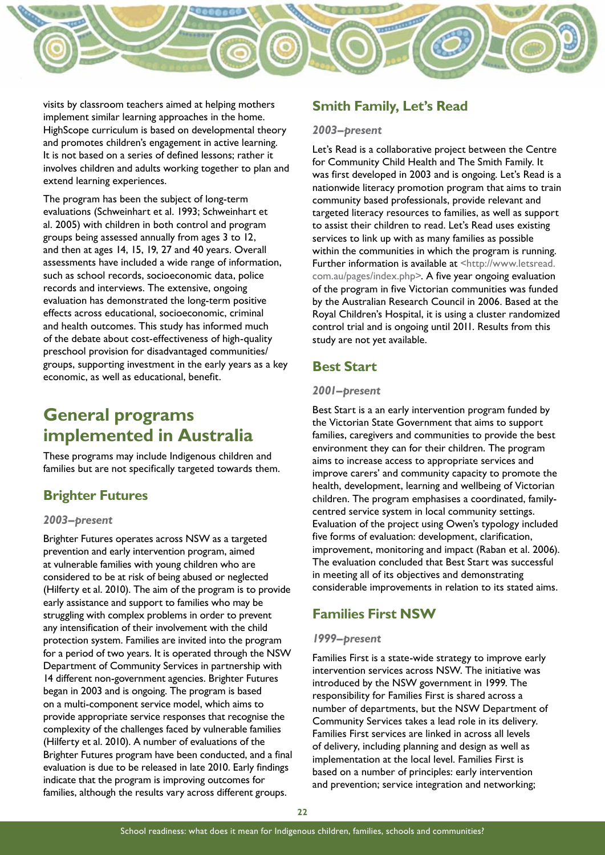

visits by classroom teachers aimed at helping mothers implement similar learning approaches in the home. HighScope curriculum is based on developmental theory and promotes children's engagement in active learning. It is not based on a series of defined lessons; rather it involves children and adults working together to plan and extend learning experiences.

The program has been the subject of long-term evaluations (Schweinhart et al. 1993; Schweinhart et al. 2005) with children in both control and program groups being assessed annually from ages 3 to 12, and then at ages 14, 15, 19, 27 and 40 years. Overall assessments have included a wide range of information, such as school records, socioeconomic data, police records and interviews. The extensive, ongoing evaluation has demonstrated the long-term positive effects across educational, socioeconomic, criminal and health outcomes. This study has informed much of the debate about cost-effectiveness of high-quality preschool provision for disadvantaged communities/ groups, supporting investment in the early years as a key economic, as well as educational, benefit.

# **General programs implemented in Australia**

These programs may include Indigenous children and families but are not specifically targeted towards them.

#### **Brighter Futures**

#### *2003–present*

Brighter Futures operates across NSW as a targeted prevention and early intervention program, aimed at vulnerable families with young children who are considered to be at risk of being abused or neglected (Hilferty et al. 2010). The aim of the program is to provide early assistance and support to families who may be struggling with complex problems in order to prevent any intensification of their involvement with the child protection system. Families are invited into the program for a period of two years. It is operated through the NSW Department of Community Services in partnership with 14 different non-government agencies. Brighter Futures began in 2003 and is ongoing. The program is based on a multi-component service model, which aims to provide appropriate service responses that recognise the complexity of the challenges faced by vulnerable families (Hilferty et al. 2010). A number of evaluations of the Brighter Futures program have been conducted, and a final evaluation is due to be released in late 2010. Early findings indicate that the program is improving outcomes for families, although the results vary across different groups.

#### **Smith Family, Let's Read**

#### *2003–present*

Let's Read is a collaborative project between the Centre for Community Child Health and The Smith Family. It was first developed in 2003 and is ongoing. Let's Read is a nationwide literacy promotion program that aims to train community based professionals, provide relevant and targeted literacy resources to families, as well as support to assist their children to read. Let's Read uses existing services to link up with as many families as possible within the communities in which the program is running. Further information is available at <http://www.letsread. com.au/pages/index.php>. A five year ongoing evaluation of the program in five Victorian communities was funded by the Australian Research Council in 2006. Based at the Royal Children's Hospital, it is using a cluster randomized control trial and is ongoing until 2011. Results from this study are not yet available.

#### **Best Start**

#### *2001–present*

Best Start is a an early intervention program funded by the Victorian State Government that aims to support families, caregivers and communities to provide the best environment they can for their children. The program aims to increase access to appropriate services and improve carers' and community capacity to promote the health, development, learning and wellbeing of Victorian children. The program emphasises a coordinated, familycentred service system in local community settings. Evaluation of the project using Owen's typology included five forms of evaluation: development, clarification, improvement, monitoring and impact (Raban et al. 2006). The evaluation concluded that Best Start was successful in meeting all of its objectives and demonstrating considerable improvements in relation to its stated aims.

#### **Families First NSW**

#### *1999–present*

Families First is a state-wide strategy to improve early intervention services across NSW. The initiative was introduced by the NSW government in 1999. The responsibility for Families First is shared across a number of departments, but the NSW Department of Community Services takes a lead role in its delivery. Families First services are linked in across all levels of delivery, including planning and design as well as implementation at the local level. Families First is based on a number of principles: early intervention and prevention; service integration and networking;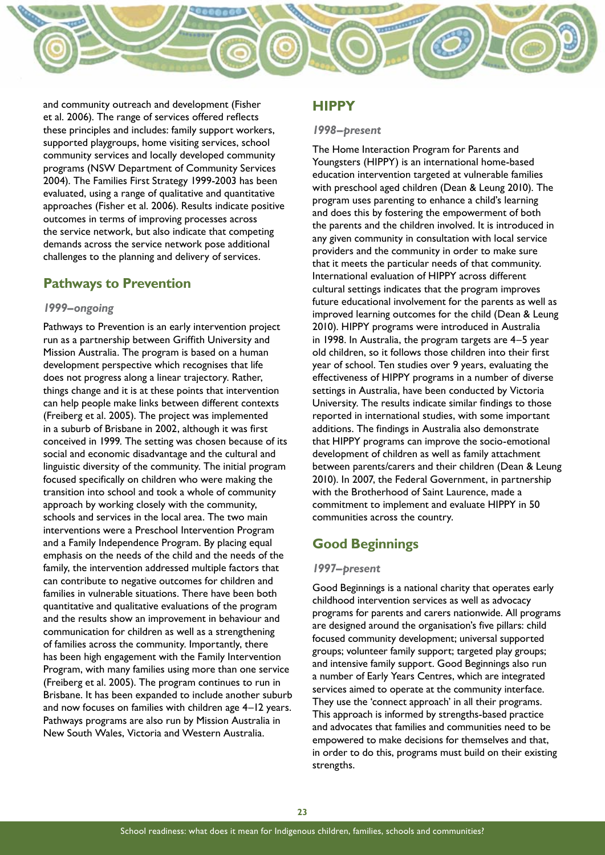

and community outreach and development (Fisher et al. 2006). The range of services offered reflects these principles and includes: family support workers, supported playgroups, home visiting services, school community services and locally developed community programs (NSW Department of Community Services 2004). The Families First Strategy 1999-2003 has been evaluated, using a range of qualitative and quantitative approaches (Fisher et al. 2006). Results indicate positive outcomes in terms of improving processes across the service network, but also indicate that competing demands across the service network pose additional challenges to the planning and delivery of services.

#### **Pathways to Prevention**

#### *1999–ongoing*

Pathways to Prevention is an early intervention project run as a partnership between Griffith University and Mission Australia. The program is based on a human development perspective which recognises that life does not progress along a linear trajectory. Rather, things change and it is at these points that intervention can help people make links between different contexts (Freiberg et al. 2005). The project was implemented in a suburb of Brisbane in 2002, although it was first conceived in 1999. The setting was chosen because of its social and economic disadvantage and the cultural and linguistic diversity of the community. The initial program focused specifically on children who were making the transition into school and took a whole of community approach by working closely with the community, schools and services in the local area. The two main interventions were a Preschool Intervention Program and a Family Independence Program. By placing equal emphasis on the needs of the child and the needs of the family, the intervention addressed multiple factors that can contribute to negative outcomes for children and families in vulnerable situations. There have been both quantitative and qualitative evaluations of the program and the results show an improvement in behaviour and communication for children as well as a strengthening of families across the community. Importantly, there has been high engagement with the Family Intervention Program, with many families using more than one service (Freiberg et al. 2005). The program continues to run in Brisbane. It has been expanded to include another suburb and now focuses on families with children age 4–12 years. Pathways programs are also run by Mission Australia in New South Wales, Victoria and Western Australia.

#### **HIPPY**

#### *1998–present*

The Home Interaction Program for Parents and Youngsters (HIPPY) is an international home-based education intervention targeted at vulnerable families with preschool aged children (Dean & Leung 2010). The program uses parenting to enhance a child's learning and does this by fostering the empowerment of both the parents and the children involved. It is introduced in any given community in consultation with local service providers and the community in order to make sure that it meets the particular needs of that community. International evaluation of HIPPY across different cultural settings indicates that the program improves future educational involvement for the parents as well as improved learning outcomes for the child (Dean & Leung 2010). HIPPY programs were introduced in Australia in 1998. In Australia, the program targets are 4–5 year old children, so it follows those children into their first year of school. Ten studies over 9 years, evaluating the effectiveness of HIPPY programs in a number of diverse settings in Australia, have been conducted by Victoria University. The results indicate similar findings to those reported in international studies, with some important additions. The findings in Australia also demonstrate that HIPPY programs can improve the socio-emotional development of children as well as family attachment between parents/carers and their children (Dean & Leung 2010). In 2007, the Federal Government, in partnership with the Brotherhood of Saint Laurence, made a commitment to implement and evaluate HIPPY in 50 communities across the country.

#### **Good Beginnings**

#### *1997–present*

Good Beginnings is a national charity that operates early childhood intervention services as well as advocacy programs for parents and carers nationwide. All programs are designed around the organisation's five pillars: child focused community development; universal supported groups; volunteer family support; targeted play groups; and intensive family support. Good Beginnings also run a number of Early Years Centres, which are integrated services aimed to operate at the community interface. They use the 'connect approach' in all their programs. This approach is informed by strengths-based practice and advocates that families and communities need to be empowered to make decisions for themselves and that, in order to do this, programs must build on their existing strengths.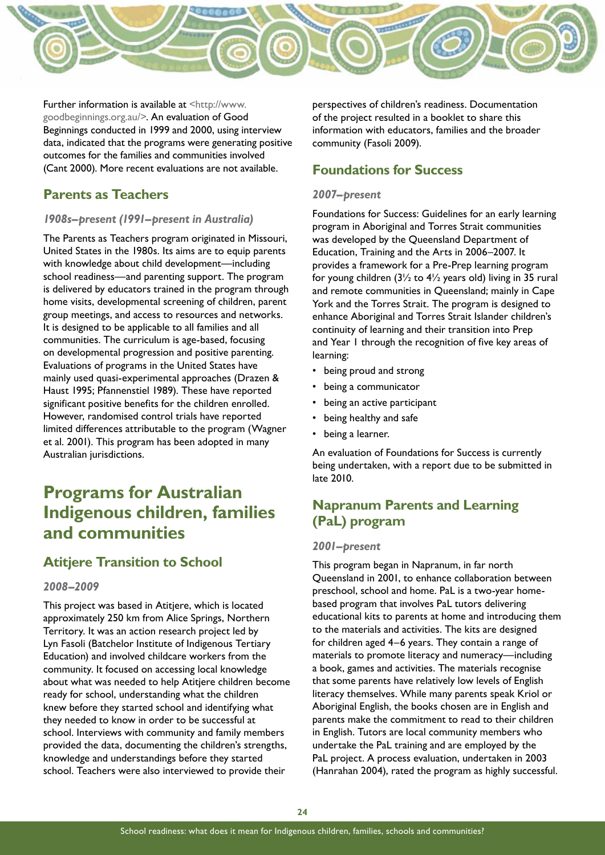

Further information is available at [<http://www.](http://www.goodbeginnings.org.au/) [goodbeginnings.org.au/](http://www.goodbeginnings.org.au/)>. An evaluation of Good Beginnings conducted in 1999 and 2000, using interview data, indicated that the programs were generating positive outcomes for the families and communities involved (Cant 2000). More recent evaluations are not available.

#### **Parents as Teachers**

#### *1908s–present (1991–present in Australia)*

The Parents as Teachers program originated in Missouri, United States in the 1980s. Its aims are to equip parents with knowledge about child development—including school readiness—and parenting support. The program is delivered by educators trained in the program through home visits, developmental screening of children, parent group meetings, and access to resources and networks. It is designed to be applicable to all families and all communities. The curriculum is age-based, focusing on developmental progression and positive parenting. Evaluations of programs in the United States have mainly used quasi-experimental approaches (Drazen & Haust 1995; Pfannenstiel 1989). These have reported significant positive benefits for the children enrolled. However, randomised control trials have reported limited differences attributable to the program (Wagner et al. 2001). This program has been adopted in many Australian jurisdictions.

# **Programs for Australian Indigenous children, families and communities**

#### **Atitjere Transition to School**

#### *2008–2009*

This project was based in Atitjere, which is located approximately 250 km from Alice Springs, Northern Territory. It was an action research project led by Lyn Fasoli (Batchelor Institute of Indigenous Tertiary Education) and involved childcare workers from the community. It focused on accessing local knowledge about what was needed to help Atitjere children become ready for school, understanding what the children knew before they started school and identifying what they needed to know in order to be successful at school. Interviews with community and family members provided the data, documenting the children's strengths, knowledge and understandings before they started school. Teachers were also interviewed to provide their

perspectives of children's readiness. Documentation of the project resulted in a booklet to share this information with educators, families and the broader community (Fasoli 2009).

#### **Foundations for Success**

#### *2007–present*

Foundations for Success: Guidelines for an early learning program in Aboriginal and Torres Strait communities was developed by the Queensland Department of Education, Training and the Arts in 2006–2007. It provides a framework for a Pre-Prep learning program for young children  $(3\frac{1}{2}$  to  $4\frac{1}{2}$  years old) living in 35 rural and remote communities in Queensland; mainly in Cape York and the Torres Strait. The program is designed to enhance Aboriginal and Torres Strait Islander children's continuity of learning and their transition into Prep and Year 1 through the recognition of five key areas of learning:

- being proud and strong
- being a communicator
- being an active participant
- being healthy and safe
- being a learner.

An evaluation of Foundations for Success is currently being undertaken, with a report due to be submitted in late 2010.

## **Napranum Parents and Learning (PaL) program**

#### *2001–present*

This program began in Napranum, in far north Queensland in 2001, to enhance collaboration between preschool, school and home. PaL is a two-year homebased program that involves PaL tutors delivering educational kits to parents at home and introducing them to the materials and activities. The kits are designed for children aged 4–6 years. They contain a range of materials to promote literacy and numeracy—including a book, games and activities. The materials recognise that some parents have relatively low levels of English literacy themselves. While many parents speak Kriol or Aboriginal English, the books chosen are in English and parents make the commitment to read to their children in English. Tutors are local community members who undertake the PaL training and are employed by the PaL project. A process evaluation, undertaken in 2003 (Hanrahan 2004), rated the program as highly successful.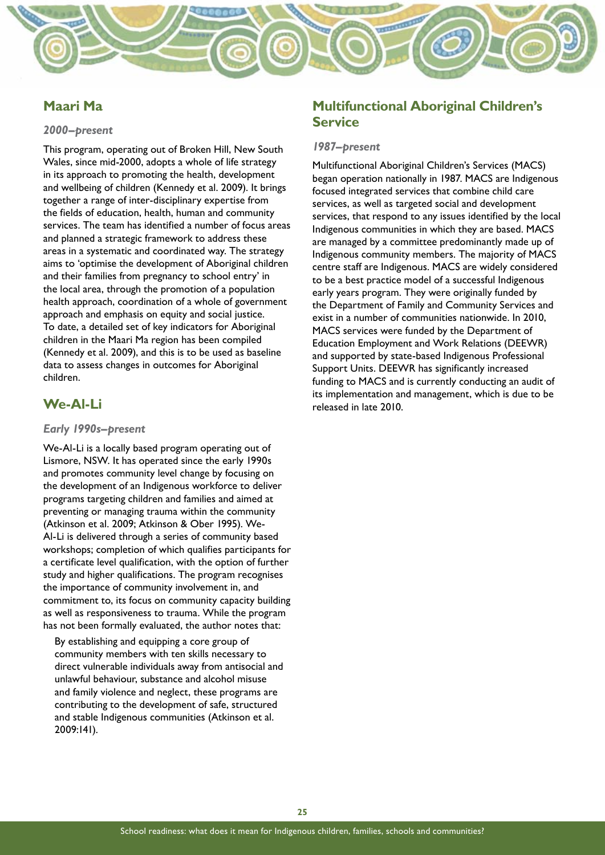

#### **Maari Ma**

#### *2000–present*

This program, operating out of Broken Hill, New South Wales, since mid-2000, adopts a whole of life strategy in its approach to promoting the health, development and wellbeing of children (Kennedy et al. 2009). It brings together a range of inter-disciplinary expertise from the fields of education, health, human and community services. The team has identified a number of focus areas and planned a strategic framework to address these areas in a systematic and coordinated way. The strategy aims to 'optimise the development of Aboriginal children and their families from pregnancy to school entry' in the local area, through the promotion of a population health approach, coordination of a whole of government approach and emphasis on equity and social justice. To date, a detailed set of key indicators for Aboriginal children in the Maari Ma region has been compiled (Kennedy et al. 2009), and this is to be used as baseline data to assess changes in outcomes for Aboriginal children.

#### **We-Al-Li**

#### *Early 1990s–present*

We-Al-Li is a locally based program operating out of Lismore, NSW. It has operated since the early 1990s and promotes community level change by focusing on the development of an Indigenous workforce to deliver programs targeting children and families and aimed at preventing or managing trauma within the community (Atkinson et al. 2009; Atkinson & Ober 1995). We-Al-Li is delivered through a series of community based workshops; completion of which qualifies participants for a certificate level qualification, with the option of further study and higher qualifications. The program recognises the importance of community involvement in, and commitment to, its focus on community capacity building as well as responsiveness to trauma. While the program has not been formally evaluated, the author notes that:

By establishing and equipping a core group of community members with ten skills necessary to direct vulnerable individuals away from antisocial and unlawful behaviour, substance and alcohol misuse and family violence and neglect, these programs are contributing to the development of safe, structured and stable Indigenous communities (Atkinson et al. 2009:141).

#### **Multifunctional Aboriginal Children's Service**

#### *1987–present*

Multifunctional Aboriginal Children's Services (MACS) began operation nationally in 1987. MACS are Indigenous focused integrated services that combine child care services, as well as targeted social and development services, that respond to any issues identified by the local Indigenous communities in which they are based. MACS are managed by a committee predominantly made up of Indigenous community members. The majority of MACS centre staff are Indigenous. MACS are widely considered to be a best practice model of a successful Indigenous early years program. They were originally funded by the Department of Family and Community Services and exist in a number of communities nationwide. In 2010, MACS services were funded by the Department of Education Employment and Work Relations (DEEWR) and supported by state-based Indigenous Professional Support Units. DEEWR has significantly increased funding to MACS and is currently conducting an audit of its implementation and management, which is due to be released in late 2010.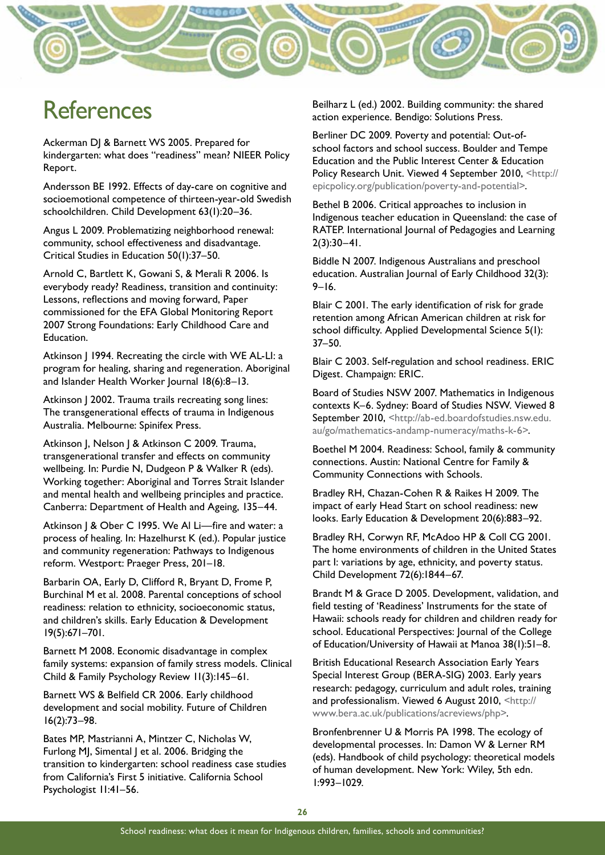

# **References**

Ackerman DJ & Barnett WS 2005. Prepared for kindergarten: what does "readiness" mean? NIEER Policy Report.

Andersson BE 1992. Effects of day-care on cognitive and socioemotional competence of thirteen-year-old Swedish schoolchildren. Child Development 63(1):20–36.

Angus L 2009. Problematizing neighborhood renewal: community, school effectiveness and disadvantage. Critical Studies in Education 50(1):37–50.

Arnold C, Bartlett K, Gowani S, & Merali R 2006. Is everybody ready? Readiness, transition and continuity: Lessons, reflections and moving forward, Paper commissioned for the EFA Global Monitoring Report 2007 Strong Foundations: Early Childhood Care and Education.

Atkinson | 1994. Recreating the circle with WE AL-LI: a program for healing, sharing and regeneration. Aboriginal and Islander Health Worker Journal 18(6):8–13.

Atkinson J 2002. Trauma trails recreating song lines: The transgenerational effects of trauma in Indigenous Australia. Melbourne: Spinifex Press.

Atkinson J, Nelson J & Atkinson C 2009. Trauma, transgenerational transfer and effects on community wellbeing. In: Purdie N, Dudgeon P & Walker R (eds). Working together: Aboriginal and Torres Strait Islander and mental health and wellbeing principles and practice. Canberra: Department of Health and Ageing, 135–44.

Atkinson J & Ober C 1995. We Al Li-fire and water: a process of healing. In: Hazelhurst K (ed.). Popular justice and community regeneration: Pathways to Indigenous reform. Westport: Praeger Press, 201–18.

Barbarin OA, Early D, Clifford R, Bryant D, Frome P, Burchinal M et al. 2008. Parental conceptions of school readiness: relation to ethnicity, socioeconomic status, and children's skills. Early Education & Development 19(5):671–701.

Barnett M 2008. Economic disadvantage in complex family systems: expansion of family stress models. Clinical Child & Family Psychology Review 11(3):145–61.

Barnett WS & Belfield CR 2006. Early childhood development and social mobility. Future of Children 16(2):73–98.

Bates MP, Mastrianni A, Mintzer C, Nicholas W, Furlong MJ, Simental J et al. 2006. Bridging the transition to kindergarten: school readiness case studies from California's First 5 initiative. California School Psychologist 11:41–56.

Beilharz L (ed.) 2002. Building community: the shared action experience. Bendigo: Solutions Press.

Berliner DC 2009. Poverty and potential: Out-ofschool factors and school success. Boulder and Tempe Education and the Public Interest Center & Education Policy Research Unit. Viewed 4 September 2010, <[http://](http://epicpolicy.org/publication/poverty-and-potential) [epicpolicy.org/publication/poverty-and-potential>](http://epicpolicy.org/publication/poverty-and-potential).

Bethel B 2006. Critical approaches to inclusion in Indigenous teacher education in Queensland: the case of RATEP. International Journal of Pedagogies and Learning  $2(3):30-41$ .

Biddle N 2007. Indigenous Australians and preschool education. Australian Journal of Early Childhood 32(3): 9–16.

Blair C 2001. The early identification of risk for grade retention among African American children at risk for school difficulty. Applied Developmental Science 5(1): 37–50.

Blair C 2003. Self-regulation and school readiness. ERIC Digest. Champaign: ERIC.

Board of Studies NSW 2007. Mathematics in Indigenous contexts K–6. Sydney: Board of Studies NSW. Viewed 8 September 2010, [<http://ab-ed.boardofstudies.nsw.edu.](http://ab-ed.boardofstudies.nsw.edu.au/go/mathematics-andamp-numeracy/maths-k-6) [au/go/mathematics-andamp-numeracy/maths-k-6](http://ab-ed.boardofstudies.nsw.edu.au/go/mathematics-andamp-numeracy/maths-k-6)>.

Boethel M 2004. Readiness: School, family & community connections. Austin: National Centre for Family & Community Connections with Schools.

Bradley RH, Chazan-Cohen R & Raikes H 2009. The impact of early Head Start on school readiness: new looks. Early Education & Development 20(6):883–92.

Bradley RH, Corwyn RF, McAdoo HP & Coll CG 2001. The home environments of children in the United States part I: variations by age, ethnicity, and poverty status. Child Development 72(6):1844–67.

Brandt M & Grace D 2005. Development, validation, and field testing of 'Readiness' Instruments for the state of Hawaii: schools ready for children and children ready for school. Educational Perspectives: Journal of the College of Education/University of Hawaii at Manoa 38(1):51–8.

British Educational Research Association Early Years Special Interest Group (BERA-SIG) 2003. Early years research: pedagogy, curriculum and adult roles, training and professionalism. Viewed 6 August 2010, [<http://](http://www.bera.ac.uk/publications/acreviews/php) [www.bera.ac.uk/publications/acreviews/php>](http://www.bera.ac.uk/publications/acreviews/php).

Bronfenbrenner U & Morris PA 1998. The ecology of developmental processes. In: Damon W & Lerner RM (eds). Handbook of child psychology: theoretical models of human development. New York: Wiley, 5th edn. 1:993–1029.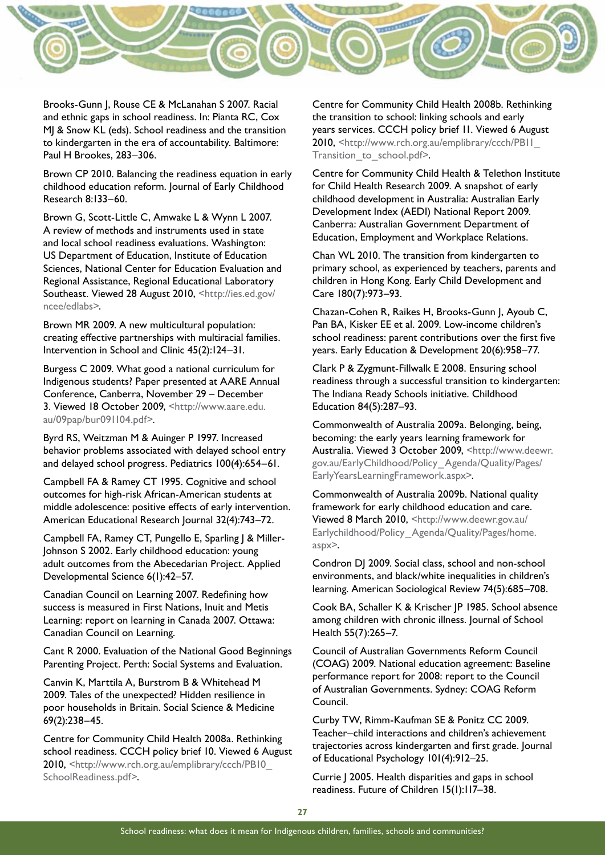

Brooks-Gunn J, Rouse CE & McLanahan S 2007. Racial and ethnic gaps in school readiness. In: Pianta RC, Cox MJ & Snow KL (eds). School readiness and the transition to kindergarten in the era of accountability. Baltimore: Paul H Brookes, 283–306.

Brown CP 2010. Balancing the readiness equation in early childhood education reform. Journal of Early Childhood Research 8:133–60.

Brown G, Scott-Little C, Amwake L & Wynn L 2007. A review of methods and instruments used in state and local school readiness evaluations. Washington: US Department of Education, Institute of Education Sciences, National Center for Education Evaluation and Regional Assistance, Regional Educational Laboratory Southeast. Viewed 28 August 2010, [<http://ies.ed.gov/](http://ies.ed.gov/ncee/edlabs) [ncee/edlabs>](http://ies.ed.gov/ncee/edlabs).

Brown MR 2009. A new multicultural population: creating effective partnerships with multiracial families. Intervention in School and Clinic 45(2):124–31.

Burgess C 2009. What good a national curriculum for Indigenous students? Paper presented at AARE Annual Conference, Canberra, November 29 – December 3. Viewed 18 October 2009, <http://www.aare.edu. au/09pap/bur091104.pdf>.

Byrd RS, Weitzman M & Auinger P 1997. Increased behavior problems associated with delayed school entry and delayed school progress. Pediatrics 100(4):654–61.

Campbell FA & Ramey CT 1995. Cognitive and school outcomes for high-risk African-American students at middle adolescence: positive effects of early intervention. American Educational Research Journal 32(4):743–72.

Campbell FA, Ramey CT, Pungello E, Sparling J & Miller-Johnson S 2002. Early childhood education: young adult outcomes from the Abecedarian Project. Applied Developmental Science 6(1):42–57.

Canadian Council on Learning 2007. Redefining how success is measured in First Nations, Inuit and Metis Learning: report on learning in Canada 2007. Ottawa: Canadian Council on Learning.

Cant R 2000. Evaluation of the National Good Beginnings Parenting Project. Perth: Social Systems and Evaluation.

Canvin K, Marttila A, Burstrom B & Whitehead M 2009. Tales of the unexpected? Hidden resilience in poor households in Britain. Social Science & Medicine 69(2):238–45.

Centre for Community Child Health 2008a. Rethinking school readiness. CCCH policy brief 10. Viewed 6 August 2010, [<http://www.rch.org.au/emplibrary/ccch/PB10\\_](http://www.rch.org.au/emplibrary/ccch/PB10_SchoolReadiness.pdf) [SchoolReadiness.pdf](http://www.rch.org.au/emplibrary/ccch/PB10_SchoolReadiness.pdf)>.

Centre for Community Child Health 2008b. Rethinking the transition to school: linking schools and early years services. CCCH policy brief 11. Viewed 6 August 2010, [<http://www.rch.org.au/emplibrary/ccch/PB11\\_](http://www.rch.org.au/emplibrary/ccch/PB11_Transition_to_school.pdf) Transition to school.pdf>.

Centre for Community Child Health & Telethon Institute for Child Health Research 2009. A snapshot of early childhood development in Australia: Australian Early Development Index (AEDI) National Report 2009. Canberra: Australian Government Department of Education, Employment and Workplace Relations.

Chan WL 2010. The transition from kindergarten to primary school, as experienced by teachers, parents and children in Hong Kong. Early Child Development and Care 180(7):973–93.

Chazan-Cohen R, Raikes H, Brooks-Gunn J, Ayoub C, Pan BA, Kisker EE et al. 2009. Low-income children's school readiness: parent contributions over the first five years. Early Education & Development 20(6):958–77.

Clark P & Zygmunt-Fillwalk E 2008. Ensuring school readiness through a successful transition to kindergarten: The Indiana Ready Schools initiative. Childhood Education 84(5):287–93.

Commonwealth of Australia 2009a. Belonging, being, becoming: the early years learning framework for Australia. Viewed 3 October 2009, [<http://www.deewr.](http://www.deewr.gov.au/EarlyChildhood/Policy_Agenda/Quality/Pages/EarlyYearsLearningFramework.aspx) [gov.au/EarlyChildhood/Policy\\_Agenda/Quality/Pages/](http://www.deewr.gov.au/EarlyChildhood/Policy_Agenda/Quality/Pages/EarlyYearsLearningFramework.aspx) [EarlyYearsLearningFramework.aspx](http://www.deewr.gov.au/EarlyChildhood/Policy_Agenda/Quality/Pages/EarlyYearsLearningFramework.aspx)>.

Commonwealth of Australia 2009b. National quality framework for early childhood education and care. Viewed 8 March 2010, <[http://www.deewr.gov.au/](http://www.deewr.gov.au/Earlychildhood/Policy_Agenda/Quality/Pages/home.aspx) [Earlychildhood/Policy\\_Agenda/Quality/Pages/home.](http://www.deewr.gov.au/Earlychildhood/Policy_Agenda/Quality/Pages/home.aspx) [aspx](http://www.deewr.gov.au/Earlychildhood/Policy_Agenda/Quality/Pages/home.aspx)>.

Condron DJ 2009. Social class, school and non-school environments, and black/white inequalities in children's learning. American Sociological Review 74(5):685–708.

Cook BA, Schaller K & Krischer JP 1985. School absence among children with chronic illness. Journal of School Health 55(7):265–7.

Council of Australian Governments Reform Council (COAG) 2009. National education agreement: Baseline performance report for 2008: report to the Council of Australian Governments. Sydney: COAG Reform Council.

Curby TW, Rimm-Kaufman SE & Ponitz CC 2009. Teacher–child interactions and children's achievement trajectories across kindergarten and first grade. Journal of Educational Psychology 101(4):912–25.

Currie J 2005. Health disparities and gaps in school readiness. Future of Children 15(1):117–38.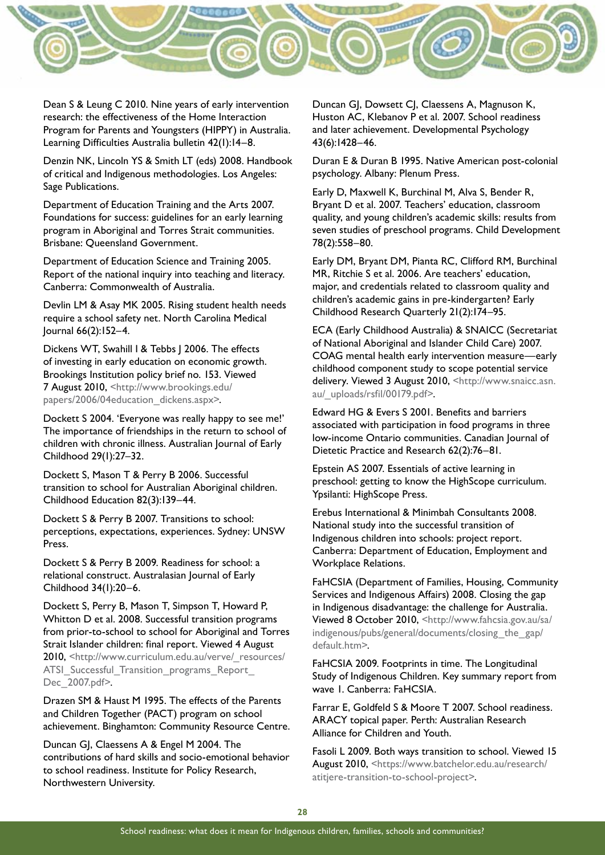

Dean S & Leung C 2010. Nine years of early intervention research: the effectiveness of the Home Interaction Program for Parents and Youngsters (HIPPY) in Australia. Learning Difficulties Australia bulletin 42(1):14–8.

Denzin NK, Lincoln YS & Smith LT (eds) 2008. Handbook of critical and Indigenous methodologies. Los Angeles: Sage Publications.

Department of Education Training and the Arts 2007. Foundations for success: guidelines for an early learning program in Aboriginal and Torres Strait communities. Brisbane: Queensland Government.

Department of Education Science and Training 2005. Report of the national inquiry into teaching and literacy. Canberra: Commonwealth of Australia.

Devlin LM & Asay MK 2005. Rising student health needs require a school safety net. North Carolina Medical Journal 66(2):152–4.

Dickens WT, Swahill I & Tebbs J 2006. The effects of investing in early education on economic growth. Brookings Institution policy brief no. 153. Viewed 7 August 2010, [<http://www.brookings.edu/](http://www.brookings.edu/papers/2006/04education_dickens.aspx) [papers/2006/04education\\_dickens.aspx](http://www.brookings.edu/papers/2006/04education_dickens.aspx)>.

Dockett S 2004. 'Everyone was really happy to see me!' The importance of friendships in the return to school of children with chronic illness. Australian Journal of Early Childhood 29(1):27–32.

Dockett S, Mason T & Perry B 2006. Successful transition to school for Australian Aboriginal children. Childhood Education 82(3):139–44.

Dockett S & Perry B 2007. Transitions to school: perceptions, expectations, experiences. Sydney: UNSW Press.

Dockett S & Perry B 2009. Readiness for school: a relational construct. Australasian Journal of Early Childhood 34(1):20–6.

Dockett S, Perry B, Mason T, Simpson T, Howard P, Whitton D et al. 2008. Successful transition programs from prior-to-school to school for Aboriginal and Torres Strait Islander children: final report. Viewed 4 August 2010, [<http://www.curriculum.edu.au/verve/\\_resources/](http://www.curriculum.edu.au/verve/_resources/ATSI_Successful_Transition_programs_Report_Dec_2007.pdf) ATSI Successful Transition programs Report [Dec\\_2007.pdf>](http://www.curriculum.edu.au/verve/_resources/ATSI_Successful_Transition_programs_Report_Dec_2007.pdf).

Drazen SM & Haust M 1995. The effects of the Parents and Children Together (PACT) program on school achievement. Binghamton: Community Resource Centre.

Duncan GJ, Claessens A & Engel M 2004. The contributions of hard skills and socio-emotional behavior to school readiness. Institute for Policy Research, Northwestern University.

Duncan GJ, Dowsett CJ, Claessens A, Magnuson K, Huston AC, Klebanov P et al. 2007. School readiness and later achievement. Developmental Psychology 43(6):1428–46.

Duran E & Duran B 1995. Native American post-colonial psychology. Albany: Plenum Press.

Early D, Maxwell K, Burchinal M, Alva S, Bender R, Bryant D et al. 2007. Teachers' education, classroom quality, and young children's academic skills: results from seven studies of preschool programs. Child Development 78(2):558–80.

Early DM, Bryant DM, Pianta RC, Clifford RM, Burchinal MR, Ritchie S et al. 2006. Are teachers' education, major, and credentials related to classroom quality and children's academic gains in pre-kindergarten? Early Childhood Research Quarterly 21(2):174–95.

ECA (Early Childhood Australia) & SNAICC (Secretariat of National Aboriginal and Islander Child Care) 2007. COAG mental health early intervention measure—early childhood component study to scope potential service delivery. Viewed 3 August 2010, <[http://www.snaicc.asn.](http://www.snaicc.asn.au/_uploads/rsfil/00179.pdf) [au/\\_uploads/rsfil/00179.pdf>](http://www.snaicc.asn.au/_uploads/rsfil/00179.pdf).

Edward HG & Evers S 2001. Benefits and barriers associated with participation in food programs in three low-income Ontario communities. Canadian Journal of Dietetic Practice and Research 62(2):76–81.

Epstein AS 2007. Essentials of active learning in preschool: getting to know the HighScope curriculum. Ypsilanti: HighScope Press.

Erebus International & Minimbah Consultants 2008. National study into the successful transition of Indigenous children into schools: project report. Canberra: Department of Education, Employment and Workplace Relations.

FaHCSIA (Department of Families, Housing, Community Services and Indigenous Affairs) 2008. Closing the gap in Indigenous disadvantage: the challenge for Australia. Viewed 8 October 2010, [<http://www.fahcsia.gov.au/sa/](http://www.fahcsia.gov.au/sa/indigenous/pubs/general/documents/closing_the_gap/default.htm) [indigenous/pubs/general/documents/closing\\_the\\_gap/](http://www.fahcsia.gov.au/sa/indigenous/pubs/general/documents/closing_the_gap/default.htm) [default.htm>](http://www.fahcsia.gov.au/sa/indigenous/pubs/general/documents/closing_the_gap/default.htm).

FaHCSIA 2009. Footprints in time. The Longitudinal Study of Indigenous Children. Key summary report from wave 1. Canberra: FaHCSIA.

Farrar E, Goldfeld S & Moore T 2007. School readiness. ARACY topical paper. Perth: Australian Research Alliance for Children and Youth.

Fasoli L 2009. Both ways transition to school. Viewed 15 August 2010, [<https://www.batchelor.edu.au/research/](https://www.batchelor.edu.au/research/atitjere-transition-to-school-project) [atitjere-transition-to-school-project](https://www.batchelor.edu.au/research/atitjere-transition-to-school-project)>.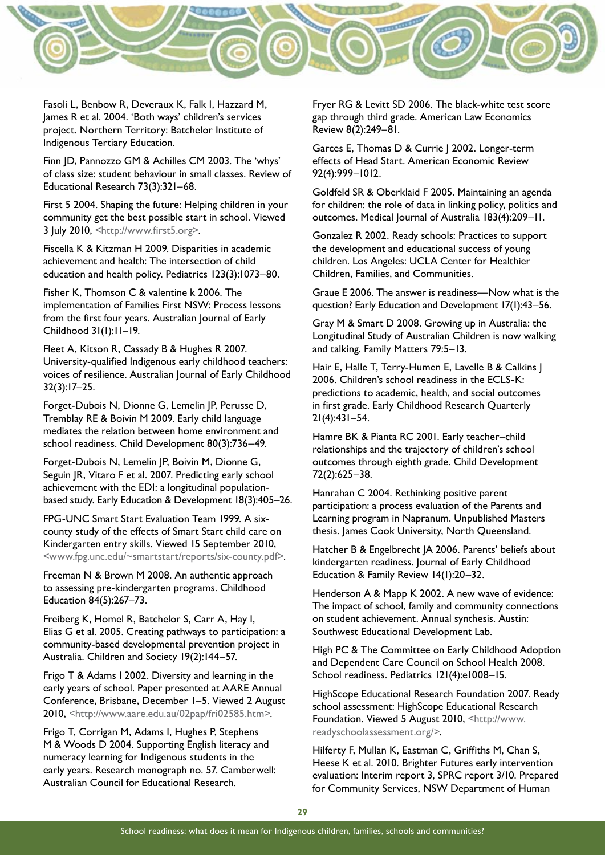

Fasoli L, Benbow R, Deveraux K, Falk I, Hazzard M, James R et al. 2004. 'Both ways' children's services project. Northern Territory: Batchelor Institute of Indigenous Tertiary Education.

Finn JD, Pannozzo GM & Achilles CM 2003. The 'whys' of class size: student behaviour in small classes. Review of Educational Research 73(3):321–68.

First 5 2004. Shaping the future: Helping children in your community get the best possible start in school. Viewed 3 July 2010, <[http://www.first5.org](http://www.first5.org/)>.

Fiscella K & Kitzman H 2009. Disparities in academic achievement and health: The intersection of child education and health policy. Pediatrics 123(3):1073–80.

Fisher K, Thomson C & valentine k 2006. The implementation of Families First NSW: Process lessons from the first four years. Australian Journal of Early Childhood 31(1):11–19.

Fleet A, Kitson R, Cassady B & Hughes R 2007. University-qualified Indigenous early childhood teachers: voices of resilience. Australian Journal of Early Childhood 32(3):17–25.

Forget-Dubois N, Dionne G, Lemelin JP, Perusse D, Tremblay RE & Boivin M 2009. Early child language mediates the relation between home environment and school readiness. Child Development 80(3):736–49.

Forget-Dubois N, Lemelin JP, Boivin M, Dionne G, Seguin JR, Vitaro F et al. 2007. Predicting early school achievement with the EDI: a longitudinal populationbased study. Early Education & Development 18(3):405–26.

FPG-UNC Smart Start Evaluation Team 1999. A sixcounty study of the effects of Smart Start child care on Kindergarten entry skills. Viewed 15 September 2010, <[www.fpg.unc.edu/~smartstart/reports/six-county.pdf](http://www.fpg.unc.edu/~smartstart/reports/six-county.pdf)>.

Freeman N & Brown M 2008. An authentic approach to assessing pre-kindergarten programs. Childhood Education 84(5):267–73.

Freiberg K, Homel R, Batchelor S, Carr A, Hay I, Elias G et al. 2005. Creating pathways to participation: a community-based developmental prevention project in Australia. Children and Society 19(2):144–57.

Frigo T & Adams I 2002. Diversity and learning in the early years of school. Paper presented at AARE Annual Conference, Brisbane, December 1–5. Viewed 2 August 2010, [<http://www.aare.edu.au/02pap/fri02585.htm](http://www.aare.edu.au/02pap/fri02585.htm)>.

Frigo T, Corrigan M, Adams I, Hughes P, Stephens M & Woods D 2004. Supporting English literacy and numeracy learning for Indigenous students in the early years. Research monograph no. 57. Camberwell: Australian Council for Educational Research.

Fryer RG & Levitt SD 2006. The black-white test score gap through third grade. American Law Economics Review 8(2):249–81.

Garces E, Thomas D & Currie | 2002. Longer-term effects of Head Start. American Economic Review 92(4):999–1012.

Goldfeld SR & Oberklaid F 2005. Maintaining an agenda for children: the role of data in linking policy, politics and outcomes. Medical Journal of Australia 183(4):209–11.

Gonzalez R 2002. Ready schools: Practices to support the development and educational success of young children. Los Angeles: UCLA Center for Healthier Children, Families, and Communities.

Graue E 2006. The answer is readiness—Now what is the question? Early Education and Development 17(1):43–56.

Gray M & Smart D 2008. Growing up in Australia: the Longitudinal Study of Australian Children is now walking and talking. Family Matters 79:5–13.

Hair E, Halle T, Terry-Humen E, Lavelle B & Calkins J 2006. Children's school readiness in the ECLS-K: predictions to academic, health, and social outcomes in first grade. Early Childhood Research Quarterly 21(4):431–54.

Hamre BK & Pianta RC 2001. Early teacher–child relationships and the trajectory of children's school outcomes through eighth grade. Child Development 72(2):625–38.

Hanrahan C 2004. Rethinking positive parent participation: a process evaluation of the Parents and Learning program in Napranum. Unpublished Masters thesis. James Cook University, North Queensland.

Hatcher B & Engelbrecht JA 2006. Parents' beliefs about kindergarten readiness. Journal of Early Childhood Education & Family Review 14(1):20–32.

Henderson A & Mapp K 2002. A new wave of evidence: The impact of school, family and community connections on student achievement. Annual synthesis. Austin: Southwest Educational Development Lab.

High PC & The Committee on Early Childhood Adoption and Dependent Care Council on School Health 2008. School readiness. Pediatrics 121(4):e1008–15.

HighScope Educational Research Foundation 2007. Ready school assessment: HighScope Educational Research Foundation. Viewed 5 August 2010, <[http://www.](http://www.readyschoolassessment.org/) [readyschoolassessment.org/>](http://www.readyschoolassessment.org/).

Hilferty F, Mullan K, Eastman C, Griffiths M, Chan S, Heese K et al. 2010. Brighter Futures early intervention evaluation: Interim report 3, SPRC report 3/10. Prepared for Community Services, NSW Department of Human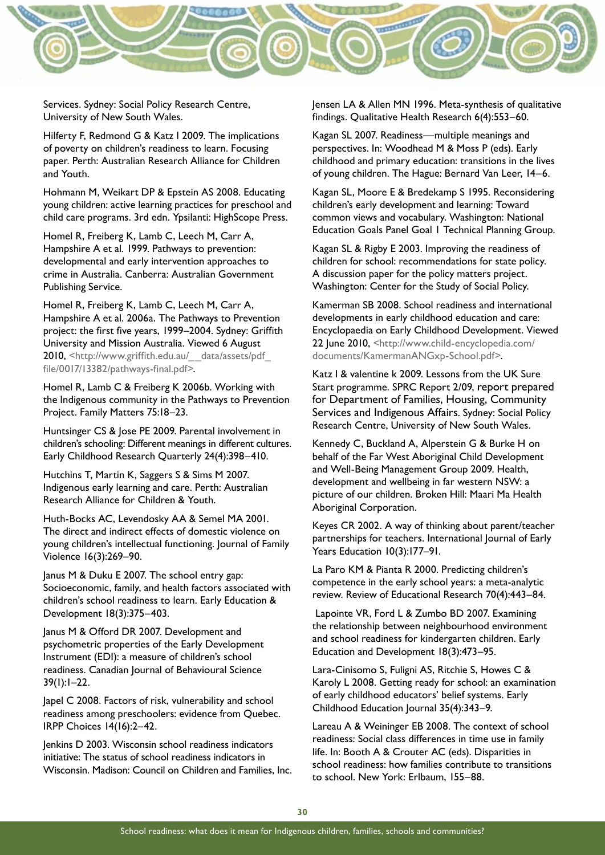

Services. Sydney: Social Policy Research Centre, University of New South Wales.

Hilferty F, Redmond G & Katz I 2009. The implications of poverty on children's readiness to learn. Focusing paper. Perth: Australian Research Alliance for Children and Youth.

Hohmann M, Weikart DP & Epstein AS 2008. Educating young children: active learning practices for preschool and child care programs. 3rd edn. Ypsilanti: HighScope Press.

Homel R, Freiberg K, Lamb C, Leech M, Carr A, Hampshire A et al. 1999. Pathways to prevention: developmental and early intervention approaches to crime in Australia. Canberra: Australian Government Publishing Service.

Homel R, Freiberg K, Lamb C, Leech M, Carr A, Hampshire A et al. 2006a. The Pathways to Prevention project: the first five years, 1999–2004. Sydney: Griffith University and Mission Australia. Viewed 6 August 2010, <http://www.griffith.edu.au/\_\_data/assets/pdf [file/0017/13382/pathways-final.pdf>.](http://www.griffith.edu.au/__data/assets/pdf_file/0017/13382/pathways-final.pdf.)

Homel R, Lamb C & Freiberg K 2006b. Working with the Indigenous community in the Pathways to Prevention Project. Family Matters 75:18–23.

Huntsinger CS & Jose PE 2009. Parental involvement in children's schooling: Different meanings in different cultures. Early Childhood Research Quarterly 24(4):398–410.

Hutchins T, Martin K, Saggers S & Sims M 2007. Indigenous early learning and care. Perth: Australian Research Alliance for Children & Youth.

Huth-Bocks AC, Levendosky AA & Semel MA 2001. The direct and indirect effects of domestic violence on young children's intellectual functioning. Journal of Family Violence 16(3):269–90.

Janus M & Duku E 2007. The school entry gap: Socioeconomic, family, and health factors associated with children's school readiness to learn. Early Education & Development 18(3):375–403.

Janus M & Offord DR 2007. Development and psychometric properties of the Early Development Instrument (EDI): a measure of children's school readiness. Canadian Journal of Behavioural Science 39(1):1–22.

Japel C 2008. Factors of risk, vulnerability and school readiness among preschoolers: evidence from Quebec. IRPP Choices 14(16):2–42.

Jenkins D 2003. Wisconsin school readiness indicators initiative: The status of school readiness indicators in Wisconsin. Madison: Council on Children and Families, Inc. Jensen LA & Allen MN 1996. Meta-synthesis of qualitative findings. Qualitative Health Research 6(4):553–60.

Kagan SL 2007. Readiness—multiple meanings and perspectives. In: Woodhead M & Moss P (eds). Early childhood and primary education: transitions in the lives of young children. The Hague: Bernard Van Leer, 14–6.

Kagan SL, Moore E & Bredekamp S 1995. Reconsidering children's early development and learning: Toward common views and vocabulary. Washington: National Education Goals Panel Goal 1 Technical Planning Group.

Kagan SL & Rigby E 2003. Improving the readiness of children for school: recommendations for state policy. A discussion paper for the policy matters project. Washington: Center for the Study of Social Policy.

Kamerman SB 2008. School readiness and international developments in early childhood education and care: Encyclopaedia on Early Childhood Development. Viewed 22 June 2010, [<http://www.child-encyclopedia.com/](http://www.child-encyclopedia.com/documents/KamermanANGxp-School.pdf) [documents/KamermanANGxp-School.pdf>](http://www.child-encyclopedia.com/documents/KamermanANGxp-School.pdf).

Katz I & valentine k 2009. Lessons from the UK Sure Start programme. SPRC Report 2/09, report prepared for Department of Families, Housing, Community Services and Indigenous Affairs. Sydney: Social Policy Research Centre, University of New South Wales.

Kennedy C, Buckland A, Alperstein G & Burke H on behalf of the Far West Aboriginal Child Development and Well-Being Management Group 2009. Health, development and wellbeing in far western NSW: a picture of our children. Broken Hill: Maari Ma Health Aboriginal Corporation.

Keyes CR 2002. A way of thinking about parent/teacher partnerships for teachers. International Journal of Early Years Education 10(3):177–91.

La Paro KM & Pianta R 2000. Predicting children's competence in the early school years: a meta-analytic review. Review of Educational Research 70(4):443–84.

 Lapointe VR, Ford L & Zumbo BD 2007. Examining the relationship between neighbourhood environment and school readiness for kindergarten children. Early Education and Development 18(3):473–95.

Lara-Cinisomo S, Fuligni AS, Ritchie S, Howes C & Karoly L 2008. Getting ready for school: an examination of early childhood educators' belief systems. Early Childhood Education Journal 35(4):343–9.

Lareau A & Weininger EB 2008. The context of school readiness: Social class differences in time use in family life. In: Booth A & Crouter AC (eds). Disparities in school readiness: how families contribute to transitions to school. New York: Erlbaum, 155–88.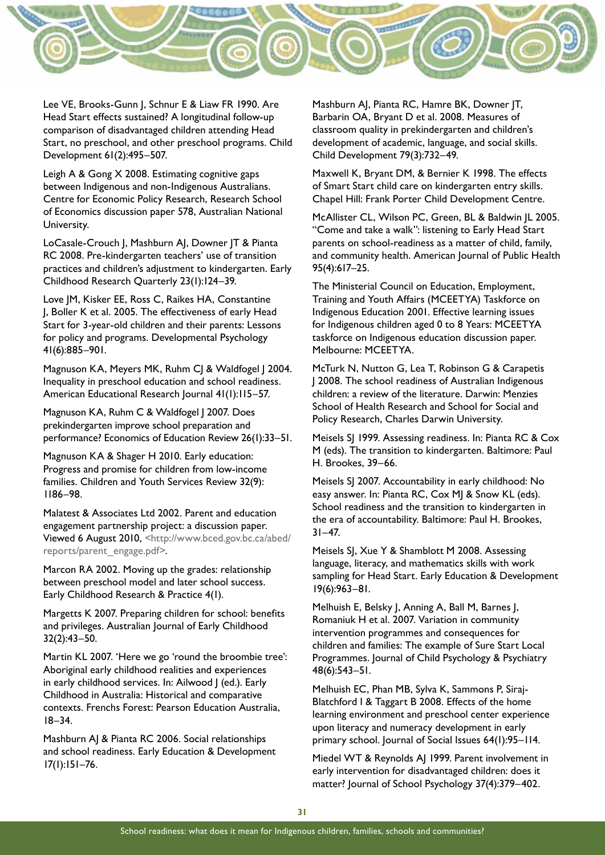

Lee VE, Brooks-Gunn J, Schnur E & Liaw FR 1990. Are Head Start effects sustained? A longitudinal follow-up comparison of disadvantaged children attending Head Start, no preschool, and other preschool programs. Child Development 61(2):495–507.

Leigh A & Gong X 2008. Estimating cognitive gaps between Indigenous and non-Indigenous Australians. Centre for Economic Policy Research, Research School of Economics discussion paper 578, Australian National University.

LoCasale-Crouch J, Mashburn AJ, Downer JT & Pianta RC 2008. Pre-kindergarten teachers' use of transition practices and children's adjustment to kindergarten. Early Childhood Research Quarterly 23(1):124–39.

Love JM, Kisker EE, Ross C, Raikes HA, Constantine J, Boller K et al. 2005. The effectiveness of early Head Start for 3-year-old children and their parents: Lessons for policy and programs. Developmental Psychology 41(6):885–901.

Magnuson KA, Meyers MK, Ruhm CJ & Waldfogel J 2004. Inequality in preschool education and school readiness. American Educational Research Journal 41(1):115–57.

Magnuson KA, Ruhm C & Waldfogel | 2007. Does prekindergarten improve school preparation and performance? Economics of Education Review 26(1):33–51.

Magnuson KA & Shager H 2010. Early education: Progress and promise for children from low-income families. Children and Youth Services Review 32(9): 1186–98.

Malatest & Associates Ltd 2002. Parent and education engagement partnership project: a discussion paper. Viewed 6 August 2010, <http://www.bced.gov.bc.ca/abed/ reports/parent\_engage.pdf>.

Marcon RA 2002. Moving up the grades: relationship between preschool model and later school success. Early Childhood Research & Practice 4(1).

Margetts K 2007. Preparing children for school: benefits and privileges. Australian Journal of Early Childhood 32(2):43–50.

Martin KL 2007. 'Here we go 'round the broombie tree': Aboriginal early childhood realities and experiences in early childhood services. In: Ailwood J (ed.). Early Childhood in Australia: Historical and comparative contexts. Frenchs Forest: Pearson Education Australia, 18–34.

Mashburn AJ & Pianta RC 2006. Social relationships and school readiness. Early Education & Development 17(1):151–76.

Mashburn AJ, Pianta RC, Hamre BK, Downer JT, Barbarin OA, Bryant D et al. 2008. Measures of classroom quality in prekindergarten and children's development of academic, language, and social skills. Child Development 79(3):732–49.

Maxwell K, Bryant DM, & Bernier K 1998. The effects of Smart Start child care on kindergarten entry skills. Chapel Hill: Frank Porter Child Development Centre.

McAllister CL, Wilson PC, Green, BL & Baldwin JL 2005. "Come and take a walk": listening to Early Head Start parents on school-readiness as a matter of child, family, and community health. American Journal of Public Health 95(4):617–25.

The Ministerial Council on Education, Employment, Training and Youth Affairs (MCEETYA) Taskforce on Indigenous Education 2001. Effective learning issues for Indigenous children aged 0 to 8 Years: MCEETYA taskforce on Indigenous education discussion paper. Melbourne: MCEETYA.

McTurk N, Nutton G, Lea T, Robinson G & Carapetis J 2008. The school readiness of Australian Indigenous children: a review of the literature. Darwin: Menzies School of Health Research and School for Social and Policy Research, Charles Darwin University.

Meisels SJ 1999. Assessing readiness. In: Pianta RC & Cox M (eds). The transition to kindergarten. Baltimore: Paul H. Brookes, 39–66.

Meisels SJ 2007. Accountability in early childhood: No easy answer. In: Pianta RC, Cox MJ & Snow KL (eds). School readiness and the transition to kindergarten in the era of accountability. Baltimore: Paul H. Brookes,  $31 - 47.$ 

Meisels SJ, Xue Y & Shamblott M 2008. Assessing language, literacy, and mathematics skills with work sampling for Head Start. Early Education & Development 19(6):963–81.

Melhuish E, Belsky J, Anning A, Ball M, Barnes J, Romaniuk H et al. 2007. Variation in community intervention programmes and consequences for children and families: The example of Sure Start Local Programmes. Journal of Child Psychology & Psychiatry 48(6):543–51.

Melhuish EC, Phan MB, Sylva K, Sammons P, Siraj-Blatchford I & Taggart B 2008. Effects of the home learning environment and preschool center experience upon literacy and numeracy development in early primary school. Journal of Social Issues 64(1):95–114.

Miedel WT & Reynolds AJ 1999. Parent involvement in early intervention for disadvantaged children: does it matter? Journal of School Psychology 37(4):379–402.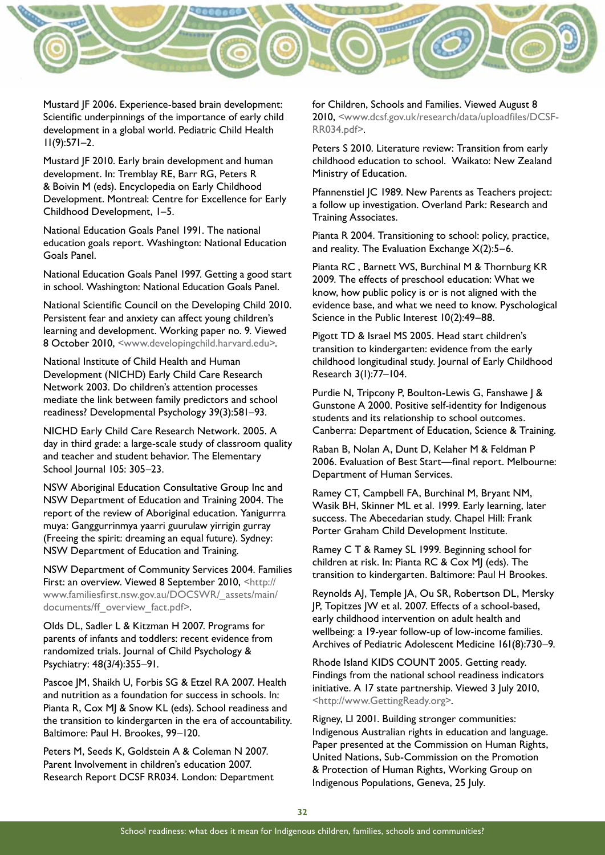

Mustard JF 2006. Experience-based brain development: Scientific underpinnings of the importance of early child development in a global world. Pediatric Child Health 11(9):571–2.

Mustard JF 2010. Early brain development and human development. In: Tremblay RE, Barr RG, Peters R & Boivin M (eds). Encyclopedia on Early Childhood Development. Montreal: Centre for Excellence for Early Childhood Development, 1–5.

National Education Goals Panel 1991. The national education goals report. Washington: National Education Goals Panel.

National Education Goals Panel 1997. Getting a good start in school. Washington: National Education Goals Panel.

National Scientific Council on the Developing Child 2010. Persistent fear and anxiety can affect young children's learning and development. Working paper no. 9. Viewed 8 October 2010, <www.developingchild.harvard.edu>.

National Institute of Child Health and Human Development (NICHD) Early Child Care Research Network 2003. Do children's attention processes mediate the link between family predictors and school readiness? Developmental Psychology 39(3):581–93.

NICHD Early Child Care Research Network. 2005. A day in third grade: a large-scale study of classroom quality and teacher and student behavior. The Elementary School Journal 105: 305–23.

NSW Aboriginal Education Consultative Group Inc and NSW Department of Education and Training 2004. The report of the review of Aboriginal education. Yanigurrra muya: Ganggurrinmya yaarri guurulaw yirrigin gurray (Freeing the spirit: dreaming an equal future). Sydney: NSW Department of Education and Training.

NSW Department of Community Services 2004. Families First: an overview. Viewed 8 September 2010, <[http://](http://www.familiesfirst.nsw.gov.au/DOCSWR/_assets/main/documents/ff_overview_fact.pdf) [www.familiesfirst.nsw.gov.au/DOCSWR/\\_assets/main/](http://www.familiesfirst.nsw.gov.au/DOCSWR/_assets/main/documents/ff_overview_fact.pdf) [documents/ff\\_overview\\_fact.pdf>](http://www.familiesfirst.nsw.gov.au/DOCSWR/_assets/main/documents/ff_overview_fact.pdf).

Olds DL, Sadler L & Kitzman H 2007. Programs for parents of infants and toddlers: recent evidence from randomized trials. Journal of Child Psychology & Psychiatry: 48(3/4):355–91.

Pascoe JM, Shaikh U, Forbis SG & Etzel RA 2007. Health and nutrition as a foundation for success in schools. In: Pianta R, Cox MJ & Snow KL (eds). School readiness and the transition to kindergarten in the era of accountability. Baltimore: Paul H. Brookes, 99–120.

Peters M, Seeds K, Goldstein A & Coleman N 2007. Parent Involvement in children's education 2007. Research Report DCSF RR034. London: Department for Children, Schools and Families. Viewed August 8 2010, [<www.dcsf.gov.uk/research/data/uploadfiles/DCSF-](http://www.dcsf.gov.uk/research/data/uploadfiles/DCSF-RR034.pdf)[RR034.pdf](http://www.dcsf.gov.uk/research/data/uploadfiles/DCSF-RR034.pdf)>.

Peters S 2010. Literature review: Transition from early childhood education to school. Waikato: New Zealand Ministry of Education.

Pfannenstiel JC 1989. New Parents as Teachers project: a follow up investigation. Overland Park: Research and Training Associates.

Pianta R 2004. Transitioning to school: policy, practice, and reality. The Evaluation Exchange X(2):5–6.

Pianta RC , Barnett WS, Burchinal M & Thornburg KR 2009. The effects of preschool education: What we know, how public policy is or is not aligned with the evidence base, and what we need to know. Pyschological Science in the Public Interest 10(2):49–88.

Pigott TD & Israel MS 2005. Head start children's transition to kindergarten: evidence from the early childhood longitudinal study. Journal of Early Childhood Research 3(1):77–104.

Purdie N, Tripcony P, Boulton-Lewis G, Fanshawe J & Gunstone A 2000. Positive self-identity for Indigenous students and its relationship to school outcomes. Canberra: Department of Education, Science & Training.

Raban B, Nolan A, Dunt D, Kelaher M & Feldman P 2006. Evaluation of Best Start—final report. Melbourne: Department of Human Services.

Ramey CT, Campbell FA, Burchinal M, Bryant NM, Wasik BH, Skinner ML et al. 1999. Early learning, later success. The Abecedarian study. Chapel Hill: Frank Porter Graham Child Development Institute.

Ramey C T & Ramey SL 1999. Beginning school for children at risk. In: Pianta RC & Cox MJ (eds). The transition to kindergarten. Baltimore: Paul H Brookes.

Reynolds AJ, Temple JA, Ou SR, Robertson DL, Mersky JP, Topitzes JW et al. 2007. Effects of a school-based, early childhood intervention on adult health and wellbeing: a 19-year follow-up of low-income families. Archives of Pediatric Adolescent Medicine 161(8):730–9.

Rhode Island KIDS COUNT 2005. Getting ready. Findings from the national school readiness indicators initiative. A 17 state partnership. Viewed 3 July 2010, <[http://www.GettingReady.org](http://www.gettingready.org/)>.

Rigney, LI 2001. Building stronger communities: Indigenous Australian rights in education and language. Paper presented at the Commission on Human Rights, United Nations, Sub-Commission on the Promotion & Protection of Human Rights, Working Group on Indigenous Populations, Geneva, 25 July.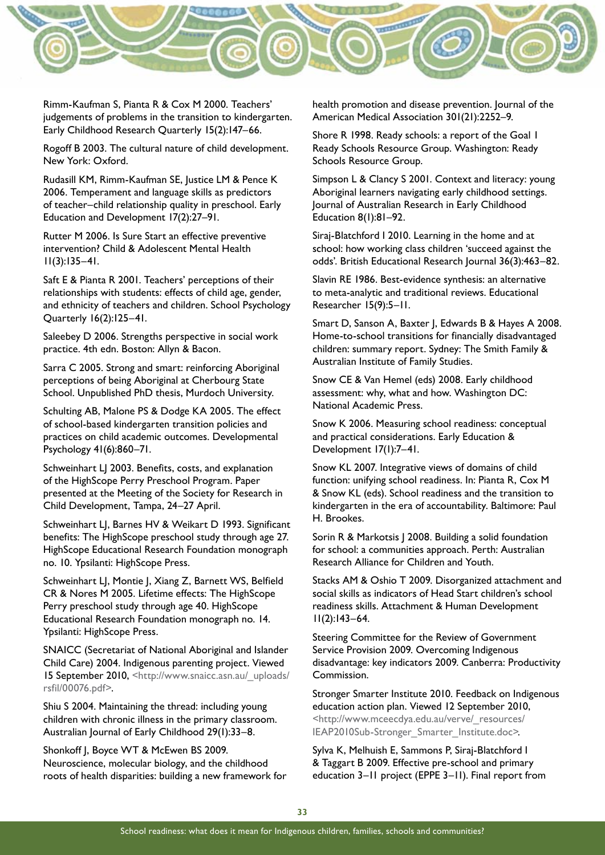

Rimm-Kaufman S, Pianta R & Cox M 2000. Teachers' judgements of problems in the transition to kindergarten. Early Childhood Research Quarterly 15(2):147–66.

Rogoff B 2003. The cultural nature of child development. New York: Oxford.

Rudasill KM, Rimm-Kaufman SE, Justice LM & Pence K 2006. Temperament and language skills as predictors of teacher–child relationship quality in preschool. Early Education and Development 17(2):27–91.

Rutter M 2006. Is Sure Start an effective preventive intervention? Child & Adolescent Mental Health 11(3):135–41.

Saft E & Pianta R 2001. Teachers' perceptions of their relationships with students: effects of child age, gender, and ethnicity of teachers and children. School Psychology Quarterly 16(2):125–41.

Saleebey D 2006. Strengths perspective in social work practice. 4th edn. Boston: Allyn & Bacon.

Sarra C 2005. Strong and smart: reinforcing Aboriginal perceptions of being Aboriginal at Cherbourg State School. Unpublished PhD thesis, Murdoch University.

Schulting AB, Malone PS & Dodge KA 2005. The effect of school-based kindergarten transition policies and practices on child academic outcomes. Developmental Psychology 41(6):860–71.

Schweinhart LJ 2003. Benefits, costs, and explanation of the HighScope Perry Preschool Program. Paper presented at the Meeting of the Society for Research in Child Development, Tampa, 24–27 April.

Schweinhart LJ, Barnes HV & Weikart D 1993. Significant benefits: The HighScope preschool study through age 27. HighScope Educational Research Foundation monograph no. 10. Ypsilanti: HighScope Press.

Schweinhart LJ, Montie J, Xiang Z, Barnett WS, Belfield CR & Nores M 2005. Lifetime effects: The HighScope Perry preschool study through age 40. HighScope Educational Research Foundation monograph no. 14. Ypsilanti: HighScope Press.

SNAICC (Secretariat of National Aboriginal and Islander Child Care) 2004. Indigenous parenting project. Viewed 15 September 2010, [<http://www.snaicc.asn.au/\\_uploads/](http://www.snaicc.asn.au/_uploads/rsfil/00076.pdf) [rsfil/00076.pdf>](http://www.snaicc.asn.au/_uploads/rsfil/00076.pdf).

Shiu S 2004. Maintaining the thread: including young children with chronic illness in the primary classroom. Australian Journal of Early Childhood 29(1):33–8.

Shonkoff J, Boyce WT & McEwen BS 2009. Neuroscience, molecular biology, and the childhood roots of health disparities: building a new framework for health promotion and disease prevention. Journal of the American Medical Association 301(21):2252–9.

Shore R 1998. Ready schools: a report of the Goal 1 Ready Schools Resource Group. Washington: Ready Schools Resource Group.

Simpson L & Clancy S 2001. Context and literacy: young Aboriginal learners navigating early childhood settings. Journal of Australian Research in Early Childhood Education 8(1):81–92.

Siraj-Blatchford I 2010. Learning in the home and at school: how working class children 'succeed against the odds'. British Educational Research Journal 36(3):463–82.

Slavin RE 1986. Best-evidence synthesis: an alternative to meta-analytic and traditional reviews. Educational Researcher 15(9):5–11.

Smart D, Sanson A, Baxter J, Edwards B & Hayes A 2008. Home-to-school transitions for financially disadvantaged children: summary report. Sydney: The Smith Family & Australian Institute of Family Studies.

Snow CE & Van Hemel (eds) 2008. Early childhood assessment: why, what and how. Washington DC: National Academic Press.

Snow K 2006. Measuring school readiness: conceptual and practical considerations. Early Education & Development 17(1):7–41.

Snow KL 2007. Integrative views of domains of child function: unifying school readiness. In: Pianta R, Cox M & Snow KL (eds). School readiness and the transition to kindergarten in the era of accountability. Baltimore: Paul H. Brookes.

Sorin R & Markotsis J 2008. Building a solid foundation for school: a communities approach. Perth: Australian Research Alliance for Children and Youth.

Stacks AM & Oshio T 2009. Disorganized attachment and social skills as indicators of Head Start children's school readiness skills. Attachment & Human Development 11(2):143–64.

Steering Committee for the Review of Government Service Provision 2009. Overcoming Indigenous disadvantage: key indicators 2009. Canberra: Productivity Commission.

Stronger Smarter Institute 2010. Feedback on Indigenous education action plan. Viewed 12 September 2010, <[http://www.mceecdya.edu.au/verve/\\_resources/](http://www.mceecdya.edu.au/verve/_resources/IEAP2010Sub-Stronger_Smarter_Institute.doc) [IEAP2010Sub-Stronger\\_Smarter\\_Institute.doc>](http://www.mceecdya.edu.au/verve/_resources/IEAP2010Sub-Stronger_Smarter_Institute.doc)*.*

Sylva K, Melhuish E, Sammons P, Siraj-Blatchford I & Taggart B 2009. Effective pre-school and primary education 3–11 project (EPPE 3–11). Final report from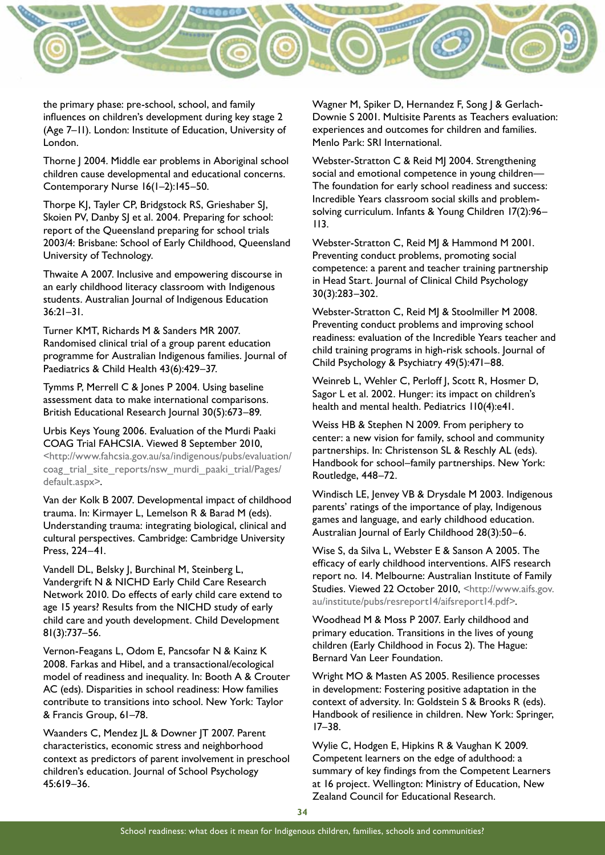

the primary phase: pre-school, school, and family influences on children's development during key stage 2 (Age 7–11). London: Institute of Education, University of London.

Thorne J 2004. Middle ear problems in Aboriginal school children cause developmental and educational concerns. Contemporary Nurse 16(1–2):145–50.

Thorpe KJ, Tayler CP, Bridgstock RS, Grieshaber SJ, Skoien PV, Danby SJ et al. 2004. Preparing for school: report of the Queensland preparing for school trials 2003/4: Brisbane: School of Early Childhood, Queensland University of Technology.

Thwaite A 2007. Inclusive and empowering discourse in an early childhood literacy classroom with Indigenous students. Australian Journal of Indigenous Education 36:21–31.

Turner KMT, Richards M & Sanders MR 2007. Randomised clinical trial of a group parent education programme for Australian Indigenous families. Journal of Paediatrics & Child Health 43(6):429–37.

Tymms P, Merrell C & Jones P 2004. Using baseline assessment data to make international comparisons. British Educational Research Journal 30(5):673–89.

Urbis Keys Young 2006. Evaluation of the Murdi Paaki COAG Trial FAHCSIA. Viewed 8 September 2010, <http://www.fahcsia.gov.au/sa/indigenous/pubs/evaluation/ coag\_trial\_site\_reports/nsw\_murdi\_paaki\_trial/Pages/ default.aspx>.

Van der Kolk B 2007. Developmental impact of childhood trauma. In: Kirmayer L, Lemelson R & Barad M (eds). Understanding trauma: integrating biological, clinical and cultural perspectives. Cambridge: Cambridge University Press, 224–41.

Vandell DL, Belsky J, Burchinal M, Steinberg L, Vandergrift N & NICHD Early Child Care Research Network 2010. Do effects of early child care extend to age 15 years? Results from the NICHD study of early child care and youth development. Child Development 81(3):737–56.

Vernon-Feagans L, Odom E, Pancsofar N & Kainz K 2008. Farkas and Hibel, and a transactional/ecological model of readiness and inequality. In: Booth A & Crouter AC (eds). Disparities in school readiness: How families contribute to transitions into school. New York: Taylor & Francis Group, 61–78.

Waanders C, Mendez JL & Downer JT 2007. Parent characteristics, economic stress and neighborhood context as predictors of parent involvement in preschool children's education. Journal of School Psychology 45:619–36.

Wagner M, Spiker D, Hernandez F, Song J & Gerlach-Downie S 2001. Multisite Parents as Teachers evaluation: experiences and outcomes for children and families. Menlo Park: SRI International.

Webster-Stratton C & Reid MJ 2004. Strengthening social and emotional competence in young children— The foundation for early school readiness and success: Incredible Years classroom social skills and problemsolving curriculum. Infants & Young Children 17(2):96– 113.

Webster-Stratton C, Reid MJ & Hammond M 2001. Preventing conduct problems, promoting social competence: a parent and teacher training partnership in Head Start. Journal of Clinical Child Psychology 30(3):283–302.

Webster-Stratton C, Reid MJ & Stoolmiller M 2008. Preventing conduct problems and improving school readiness: evaluation of the Incredible Years teacher and child training programs in high-risk schools. Journal of Child Psychology & Psychiatry 49(5):471–88.

Weinreb L, Wehler C, Perloff J, Scott R, Hosmer D, Sagor L et al. 2002. Hunger: its impact on children's health and mental health. Pediatrics 110(4):e41.

Weiss HB & Stephen N 2009. From periphery to center: a new vision for family, school and community partnerships. In: Christenson SL & Reschly AL (eds). Handbook for school–family partnerships. New York: Routledge, 448–72.

Windisch LE, Jenvey VB & Drysdale M 2003. Indigenous parents' ratings of the importance of play, Indigenous games and language, and early childhood education. Australian Journal of Early Childhood 28(3):50–6.

Wise S, da Silva L, Webster E & Sanson A 2005. The efficacy of early childhood interventions. AIFS research report no. 14. Melbourne: Australian Institute of Family Studies. Viewed 22 October 2010, [<http://www.aifs.gov.](http://www.aifs.gov.au/institute/pubs/resreport14/aifsreport14.pdf) [au/institute/pubs/resreport14/aifsreport14.pdf](http://www.aifs.gov.au/institute/pubs/resreport14/aifsreport14.pdf)>.

Woodhead M & Moss P 2007. Early childhood and primary education. Transitions in the lives of young children (Early Childhood in Focus 2). The Hague: Bernard Van Leer Foundation.

Wright MO & Masten AS 2005. Resilience processes in development: Fostering positive adaptation in the context of adversity. In: Goldstein S & Brooks R (eds). Handbook of resilience in children. New York: Springer, 17–38.

Wylie C, Hodgen E, Hipkins R & Vaughan K 2009. Competent learners on the edge of adulthood: a summary of key findings from the Competent Learners at 16 project. Wellington: Ministry of Education, New Zealand Council for Educational Research.